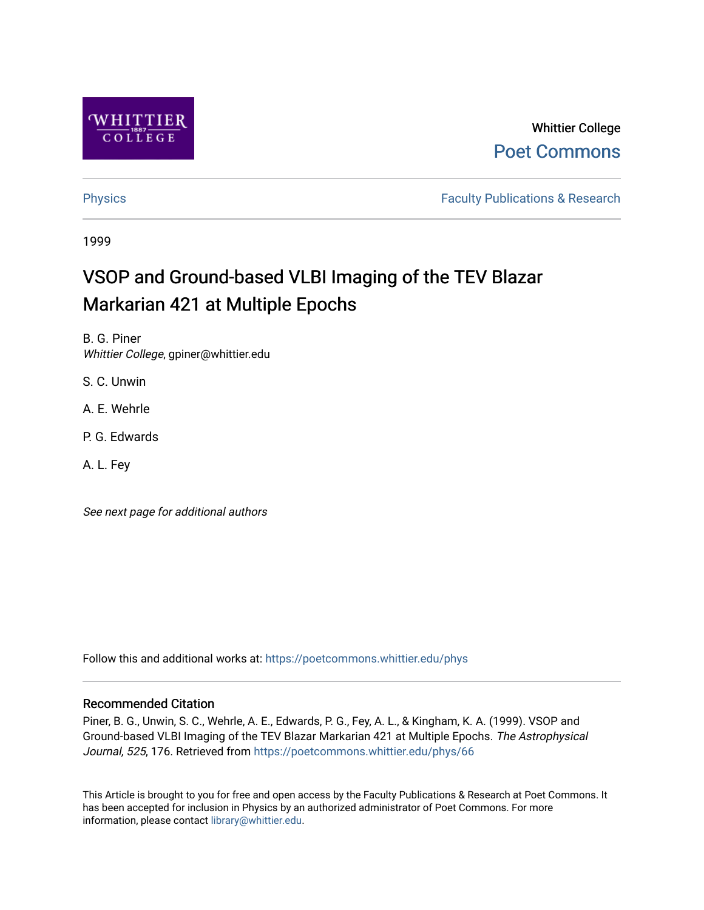

# Whittier College [Poet Commons](https://poetcommons.whittier.edu/)

[Physics](https://poetcommons.whittier.edu/phys) **Faculty Publications & Research Physics Faculty Publications & Research** 

1999

# VSOP and Ground-based VLBI Imaging of the TEV Blazar Markarian 421 at Multiple Epochs

B. G. Piner Whittier College, gpiner@whittier.edu

S. C. Unwin

A. E. Wehrle

P. G. Edwards

A. L. Fey

See next page for additional authors

Follow this and additional works at: [https://poetcommons.whittier.edu/phys](https://poetcommons.whittier.edu/phys?utm_source=poetcommons.whittier.edu%2Fphys%2F66&utm_medium=PDF&utm_campaign=PDFCoverPages)

# Recommended Citation

Piner, B. G., Unwin, S. C., Wehrle, A. E., Edwards, P. G., Fey, A. L., & Kingham, K. A. (1999). VSOP and Ground-based VLBI Imaging of the TEV Blazar Markarian 421 at Multiple Epochs. The Astrophysical Journal, 525, 176. Retrieved from [https://poetcommons.whittier.edu/phys/66](https://poetcommons.whittier.edu/phys/66?utm_source=poetcommons.whittier.edu%2Fphys%2F66&utm_medium=PDF&utm_campaign=PDFCoverPages) 

This Article is brought to you for free and open access by the Faculty Publications & Research at Poet Commons. It has been accepted for inclusion in Physics by an authorized administrator of Poet Commons. For more information, please contact [library@whittier.edu.](mailto:library@whittier.edu)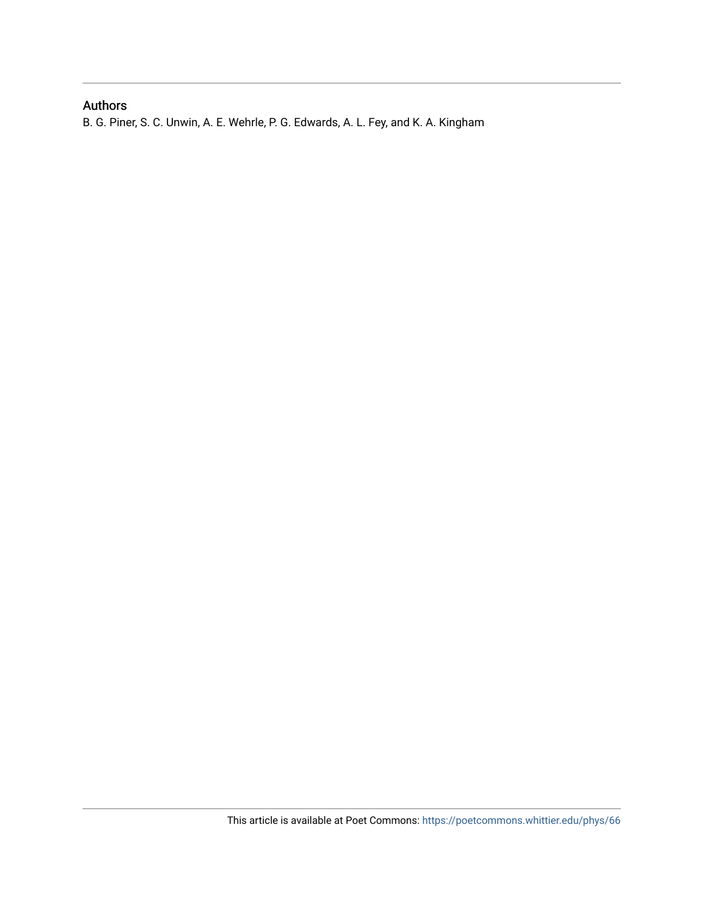# Authors

B. G. Piner, S. C. Unwin, A. E. Wehrle, P. G. Edwards, A. L. Fey, and K. A. Kingham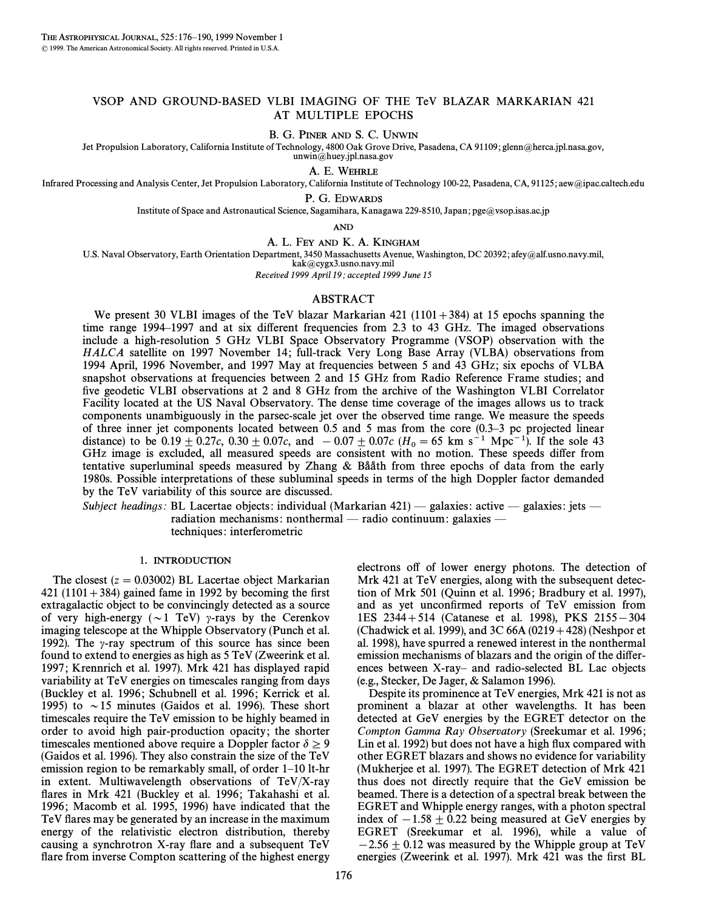### VSOP AND GROUND-BASED VLBI IMAGING OF THE TeV BLAZAR MARKARIAN 421 AT MULTIPLE EPOCHS

B. G. PINER AND S. C. UNWIN

Jet Propulsion Laboratory, California Institute of Technology, 4800 Oak Grove Drive, Pasadena, CA 91109; glenn@herca.jpl.nasa.gov, unwin@huey.jpl.nasa.gov

A. E. WEHRLE

Infrared Processing and Analysis Center, Jet Propulsion Laboratory, California Institute of Technology 100-22, Pasadena, CA, 91125; aew@ipac.caltech.edu

P. G. EDWARDS

Institute of Space and Astronautical Science, Sagamihara, Kanagawa 229-8510, Japan; pge@vsop.isas.ac.jp

AND

A. L. FEY AND K. A. KINGHAM

U.S. Naval Observatory, Earth Orientation Department, 3450 Massachusetts Avenue, Washington, DC 20392; afey@alf.usno.navy.mil,

kak@cygx3.usno.navy.mil

Received 1999 April 19; accepted 1999 June 15

#### ABSTRACT

We present 30 VLBI images of the TeV blazar Markarian 421 (1101 + 384) at 15 epochs spanning the time range 1994–1997 and at six different frequencies from 2.3 to 43 GHz. The imaged observations include a high-resolution 5 GHz VLBI Space Observatory Programme (VSOP) observation with the HALCA satellite on 1997 November 14; full-track Very Long Base Array (VLBA) observations from 1994 April, 1996 November, and 1997 May at frequencies between 5 and 43 GHz ; six epochs of VLBA snapshot observations at frequencies between 2 and 15 GHz from Radio Reference Frame studies; and five geodetic VLBI observations at 2 and 8 GHz from the archive of the Washington VLBI Correlator Facility located at the US Naval Observatory. The dense time coverage of the images allows us to track components unambiguously in the parsec-scale jet over the observed time range. We measure the speeds of three inner jet components located between  $0.5$  and  $5$  mas from the core  $(0.3-3$  pc projected linear distance) to be  $0.19 \pm 0.27c$ ,  $0.30 \pm 0.07c$ , and  $-0.07 \pm 0.07c$  (H<sub>0</sub> = 65 km s<sup>-1</sup> Mpc<sup>-1</sup>). If the sole 43 GHz image is excluded, all measured speeds are consistent with no motion. These speeds differ from tentative superluminal speeds measured by Zhang  $\&$  Bååth from three epochs of data from the early 1980s. Possible interpretations of these subluminal speeds in terms of the high Doppler factor demanded by the TeV variability of this source are discussed.

Subject headings: BL Lacertae objects: individual (Markarian  $421$ ) — galaxies: active — galaxies: jets radiation mechanisms: nonthermal — radio continuum: galaxies techniques : interferometric

#### 1. INTRODUCTION

The closest  $(z = 0.03002)$  BL Lacertae object Markarian 421 (1101  $+384$ ) gained fame in 1992 by becoming the first extragalactic object to be convincingly detected as a source of very high-energy ( $\sim$ 1 TeV)  $\gamma$ -rays by the Cerenkov imaging telescope at the Whipple Observatory (Punch et al. 1992). The  $\gamma$ -ray spectrum of this source has since been found to extend to energies as high as 5 TeV (Zweerink et al. 1997; Krennrich et al. 1997). Mrk 421 has displayed rapid variability at TeV energies on timescales ranging from days (Buckley et al. 1996; Schubnell et al. 1996; Kerrick et al. 1995) to  $\sim$  15 minutes (Gaidos et al. 1996). These short timescales require the TeV emission to be highly beamed in order to avoid high pair-production opacity; the shorter timescales mentioned above require a Doppler factor  $\delta \geq 9$ (Gaidos et al. 1996). They also constrain the size of the TeV emission region to be remarkably small, of order  $1-10$  lt-hr in extent. Multiwavelength observations of TeV/X-ray flares in Mrk 421 (Buckley et al. 1996; Takahashi et al. 1996; Macomb et al. 1995, 1996) have indicated that the TeV flares may be generated by an increase in the maximum energy of the relativistic electron distribution, thereby causing a synchrotron X-ray flare and a subsequent TeV flare from inverse Compton scattering of the highest energy electrons off of lower energy photons. The detection of Mrk 421 at TeV energies, along with the subsequent detection of Mrk 501 (Quinn et al. 1996; Bradbury et al. 1997), and as yet unconfirmed reports of TeV emission from 1ES 2344+514 (Catanese et al. 1998), PKS 2155-304 (Chadwick et al. 1999), and 3C 66A (0219 + 428) (Neshpor et al. 1998), have spurred a renewed interest in the nonthermal emission mechanisms of blazars and the origin of the differences between X-ray- and radio-selected BL Lac objects (e.g., Stecker, De Jager, & Salamon 1996).

Despite its prominence at TeV energies, Mrk 421 is not as prominent a blazar at other wavelengths. It has been detected at GeV energies by the EGRET detector on the Compton Gamma Ray Observatory (Sreekumar et al. 1996 ; Lin et al. 1992) but does not have a high flux compared with other EGRET blazars and shows no evidence for variability (Mukherjee et al. 1997). The EGRET detection of Mrk 421 thus does not directly require that the GeV emission be beamed. There is a detection of a spectral break between the EGRET and Whipple energy ranges, with a photon spectral index of  $-1.58 \pm 0.22$  being measured at GeV energies by EGRET (Sreekumar et al. 1996), while a value of  $-2.56 \pm 0.12$  was measured by the Whipple group at TeV energies (Zweerink et al. 1997). Mrk 421 was the first BL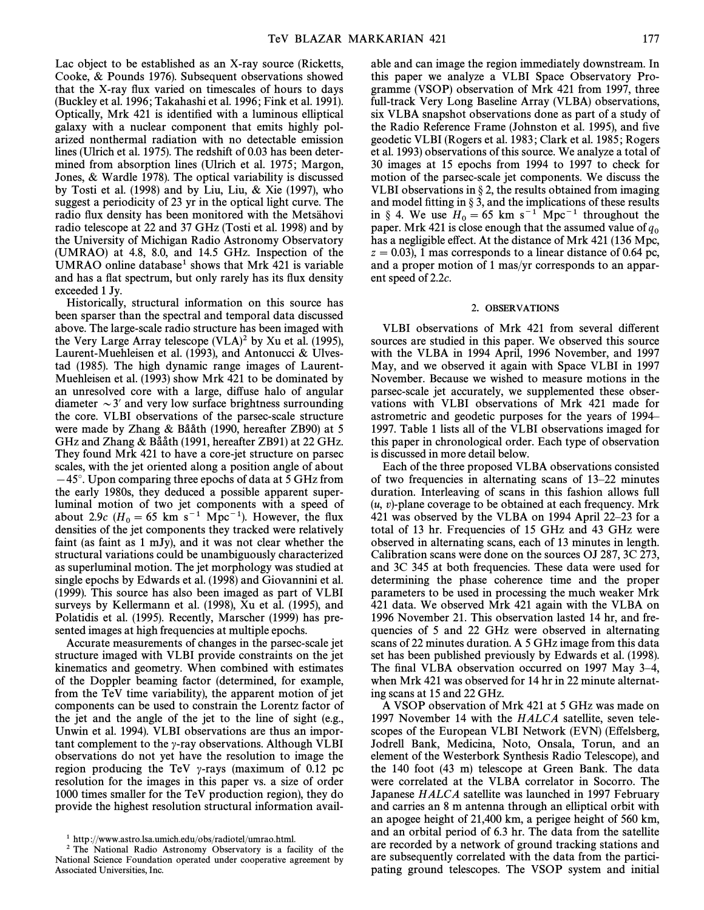Lac object to be established as an X-ray source (Ricketts, Cooke, & Pounds 1976). Subsequent observations showed that the X-ray flux varied on timescales of hours to days (Buckley et al. 1996; Takahashi et al. 1996; Fink et al. 1991). Optically, Mrk 421 is identified with a luminous elliptical galaxy with a nuclear component that emits highly polarized nonthermal radiation with no detectable emission lines (Ulrich et al. 1975). The redshift of 0.03 has been determined from absorption lines (Ulrich et al. 1975; Margon, Jones, & Wardle 1978). The optical variability is discussed by Tosti et al. (1998) and by Liu, Liu, & Xie (1997), who suggest a periodicity of 23 yr in the optical light curve. The radio flux density has been monitored with the Metsähovi radio telescope at 22 and 37 GHz (Tosti et al. 1998) and by the University of Michigan Radio Astronomy Observatory (UMRAO) at 4.8, 8.0, and 14.5 GHz. Inspection of the UMRAO online database<sup>1</sup> shows that Mrk  $421$  is variable and has a flat spectrum, but only rarely has its flux density exceeded 1 Jy.

Historically, structural information on this source has been sparser than the spectral and temporal data discussed above. The large-scale radio structure has been imaged with the Very Large Array telescope  $(VLA)^2$  by Xu et al. (1995), Laurent-Muehleisen et al. (1993), and Antonucci & Ulvestad (1985). The high dynamic range images of Laurent-Muehleisen et al. (1993) show Mrk 421 to be dominated by an unresolved core with a large, diffuse halo of angular diameter  $\sim$  3' and very low surface brightness surrounding the core. VLBI observations of the parsec-scale structure were made by Zhang  $&$  Bååth (1990, hereafter ZB90) at 5 GHz and Zhang & Bååth (1991, hereafter ZB91) at 22 GHz. They found Mrk 421 to have a core-jet structure on parsec scales, with the jet oriented along a position angle of about  $-45^\circ$ . Upon comparing three epochs of data at 5 GHz from the early 1980s, they deduced a possible apparent superluminal motion of two jet components with a speed of about 2.9c ( $H_0 = 65$  km s<sup>-1</sup> Mpc<sup>-1</sup>). However, the flux densities of the jet components they tracked were relatively faint (as faint as 1 mJy), and it was not clear whether the structural variations could be unambiguously characterized as superluminal motion. The jet morphology was studied at single epochs by Edwards et al. (1998) and Giovannini et al. (1999). This source has also been imaged as part of VLBI surveys by Kellermann et al. (1998), Xu et al. (1995), and Polatidis et al. (1995). Recently, Marscher (1999) has presented images at high frequencies at multiple epochs.

Accurate measurements of changes in the parsec-scale jet structure imaged with VLBI provide constraints on the jet kinematics and geometry. When combined with estimates of the Doppler beaming factor (determined, for example, from the TeV time variability), the apparent motion of jet components can be used to constrain the Lorentz factor of the jet and the angle of the jet to the line of sight (e.g., Unwin et al. 1994). VLBI observations are thus an important complement to the  $\gamma$ -ray observations. Although VLBI observations do not yet have the resolution to image the region producing the TeV  $\gamma$ -rays (maximum of 0.12 pc resolution for the images in this paper vs. a size of order 1000 times smaller for the TeV production region), they do provide the highest resolution structural information available and can image the region immediately downstream. In this paper we analyze a VLBI Space Observatory Programme (VSOP) observation of Mrk 421 from 1997, three full-track Very Long Baseline Array (VLBA) observations, six VLBA snapshot observations done as part of a study of the Radio Reference Frame (Johnston et al. 1995), and five geodetic VLBI (Rogers et al. 1983 ; Clark et al. 1985 ; Rogers et al. 1993) observations of this source. We analyze a total of 30 images at 15 epochs from 1994 to 1997 to check for motion of the parsec-scale jet components. We discuss the VLBI observations in  $\S 2$ , the results obtained from imaging and model fitting in  $\S$  3, and the implications of these results in § 4. We use  $H_0 = 65$  km s<sup>-1</sup> Mpc<sup>-1</sup> throughout the paper. Mrk 421 is close enough that the assumed value of  $q_0$ has a negligible effect. At the distance of Mrk 421 (136 Mpc,  $z = 0.03$ ), 1 mas corresponds to a linear distance of 0.64 pc, and a proper motion of 1 mas/yr corresponds to an apparent speed of 2.2c.

#### 2. OBSERVATIONS

VLBI observations of Mrk 421 from several different sources are studied in this paper. We observed this source with the VLBA in 1994 April, 1996 November, and 1997 May, and we observed it again with Space VLBI in 1997 November. Because we wished to measure motions in the parsec-scale jet accurately, we supplemented these observations with VLBI observations of Mrk 421 made for astrometric and geodetic purposes for the years of 1994– 1997. Table 1 lists all of the VLBI observations imaged for this paper in chronological order. Each type of observation is discussed in more detail below.

Each of the three proposed VLBA observations consisted of two frequencies in alternating scans of  $13-22$  minutes duration. Interleaving of scans in this fashion allows full  $(u, v)$ -plane coverage to be obtained at each frequency. Mrk 421 was observed by the VLBA on 1994 April 22 $-23$  for a total of 13 hr. Frequencies of 15 GHz and 43 GHz were observed in alternating scans, each of 13 minutes in length. Calibration scans were done on the sources OJ 287, 3C 273, and 3C 345 at both frequencies. These data were used for determining the phase coherence time and the proper parameters to be used in processing the much weaker Mrk 421 data. We observed Mrk 421 again with the VLBA on 1996 November 21. This observation lasted 14 hr, and frequencies of 5 and 22 GHz were observed in alternating scans of 22 minutes duration. A 5 GHz image from this data set has been published previously by Edwards et al. (1998). The final VLBA observation occurred on 1997 May 3-4, when Mrk 421 was observed for 14 hr in 22 minute alternating scans at 15 and 22 GHz.

A VSOP observation of Mrk 421 at 5 GHz was made on 1997 November 14 with the HALCA satellite, seven telescopes of the European VLBI Network (EVN) (Effelsberg, Jodrell Bank, Medicina, Noto, Onsala, Torun, and an element of the Westerbork Synthesis Radio Telescope), and the 140 foot (43 m) telescope at Green Bank. The data were correlated at the VLBA correlator in Socorro. The Japanese HALCA satellite was launched in 1997 February and carries an 8 m antenna through an elliptical orbit with an apogee height of 21,400 km, a perigee height of 560 km, and an orbital period of 6.3 hr. The data from the satellite are recorded by a network of ground tracking stations and are subsequently correlated with the data from the participating ground telescopes. The VSOP system and initial

<sup>1</sup> http ://www.astro.lsa.umich.edu/obs/radiotel/umrao.html.

<sup>2</sup> The National Radio Astronomy Observatory is a facility of the National Science Foundation operated under cooperative agreement by Associated Universities, Inc.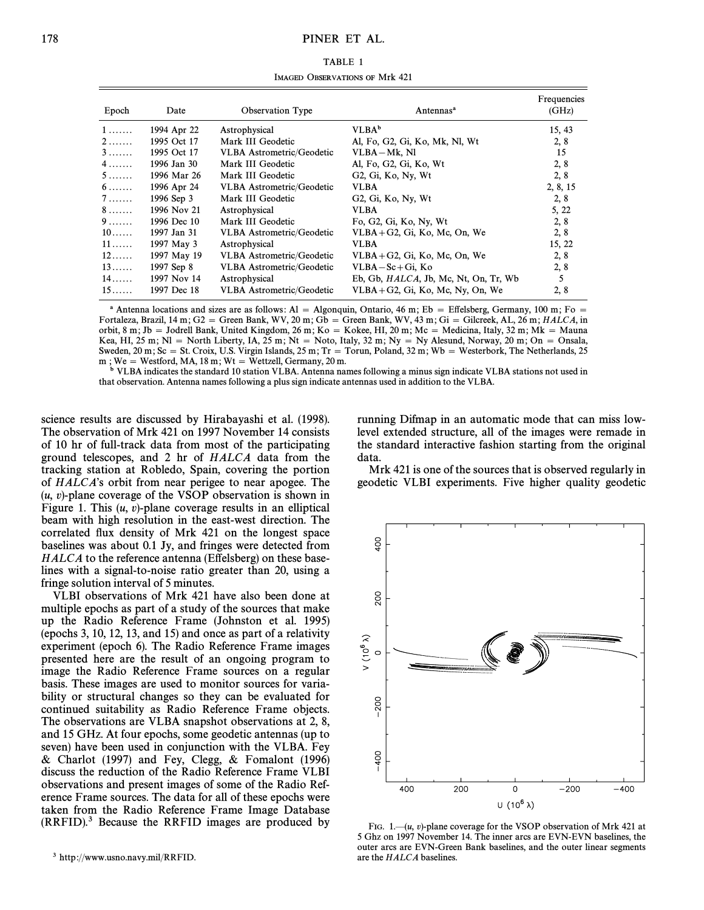| TABLE 1                        |  |
|--------------------------------|--|
| IMAGED OBSERVATIONS OF Mrk 421 |  |

| Epoch             | <b>Observation Type</b><br>Date |                                  | Antennas <sup>a</sup>                                                              | Frequencies<br>(GHz) |
|-------------------|---------------------------------|----------------------------------|------------------------------------------------------------------------------------|----------------------|
| $1 \ldots \ldots$ | 1994 Apr 22                     | Astrophysical                    | $VLBA^b$                                                                           | 15, 43               |
| $2 \ldots$        | 1995 Oct 17                     | Mark III Geodetic                | Al, Fo, G2, Gi, Ko, Mk, Nl, Wt                                                     | 2, 8                 |
| $3 \ldots$        | 1995 Oct 17                     | <b>VLBA</b> Astrometric/Geodetic | $VLBA-Mk, N1$                                                                      | 15                   |
| $4 \ldots$        | 1996 Jan 30                     | Mark III Geodetic                | Al, Fo, G2, Gi, Ko, Wt                                                             | 2, 8                 |
| 5                 | 1996 Mar 26                     | Mark III Geodetic                | G <sub>2</sub> , G <sub>i</sub> , K <sub>o</sub> , N <sub>y</sub> , W <sub>t</sub> | 2, 8                 |
| 6.                | 1996 Apr 24                     | <b>VLBA</b> Astrometric/Geodetic | <b>VLBA</b>                                                                        | 2, 8, 15             |
| 7                 | 1996 Sep 3                      | Mark III Geodetic                | G <sub>2</sub> , G <sub>i</sub> , K <sub>o</sub> , N <sub>y</sub> , W <sub>t</sub> | 2, 8                 |
| 8.                | 1996 Nov 21                     | Astrophysical                    | <b>VLBA</b>                                                                        | 5, 22                |
| 9.                | 1996 Dec 10                     | Mark III Geodetic                | Fo, G2, Gi, Ko, Ny, Wt                                                             | 2, 8                 |
| $10\dots$         | 1997 Jan 31                     | <b>VLBA</b> Astrometric/Geodetic | $VLBA + G2$ , Gi, Ko, Mc, On, We                                                   | 2, 8                 |
| $11 \ldots$       | 1997 May 3                      | Astrophysical                    | <b>VLBA</b>                                                                        | 15, 22               |
| $12 \ldots$       | 1997 May 19                     | <b>VLBA</b> Astrometric/Geodetic | $VLBA + G2$ , Gi, Ko, Mc, On, We                                                   | 2, 8                 |
| $13\dots$         | 1997 Sep 8                      | <b>VLBA</b> Astrometric/Geodetic | $VLBA - Sc + Gi$ , Ko                                                              | 2, 8                 |
| 14                | 1997 Nov 14                     | Astrophysical                    | Eb, Gb, HALCA, Jb, Mc, Nt, On, Tr, Wb                                              | 5                    |
| $15\dots$         | 1997 Dec 18                     | <b>VLBA</b> Astrometric/Geodetic | $VLBA + G2$ , Gi, Ko, Mc, Ny, On, We                                               | 2, 8                 |

<sup>a</sup> Antenna locations and sizes are as follows: Al = Algonquin, Ontario, 46 m; Eb = Effelsberg, Germany, 100 m; Fo  $=$ Fortaleza, Brazil, 14 m; G2 = Green Bank, WV, 20 m; Gb = Green Bank, WV, 43 m; Gi = Gilcreek, AL, 26 m; HALCA, in orbit, 8 m; Jb = Jodrell Bank, United Kingdom, 26 m; Ko = Kokee, HI, 20 m; Mc = Medicina, Italy, 32 m; Mk = Mauna Kea, HI, 25 m; Nl = North Liberty, IA, 25 m; Nt = Noto, Italy, 32 m; Ny = Ny Alesund, Norway, 20 m; On  $=$  Onsala, Sweden, 20 m; Sc = St. Croix, U.S. Virgin Islands, 25 m; Tr = Torun, Poland, 32 m; Wb = Westerbork, The Netherlands, 25  $m$  ; We  $\, = \,$  Westford, MA, 18  $m$  ; Wt  $\, = \,$  Wettzell, Germany, 20  $m$ .

b VLBA indicates the standard 10 station VLBA. Antenna names following a minus sign indicate VLBA stations not used in that observation. Antenna names following a plus sign indicate antennas used in addition to the VLBA.

science results are discussed by Hirabayashi et al. (1998). The observation of Mrk 421 on 1997 November 14 consists of 10 hr of full-track data from most of the participating ground telescopes, and 2 hr of HALCA data from the tracking station at Robledo, Spain, covering the portion of  $HALCA$ 's orbit from near perigee to near apogee. The  $(u, v)$ -plane coverage of the VSOP observation is shown in Figure 1. This  $(u, v)$ -plane coverage results in an elliptical beam with high resolution in the east-west direction. The correlated Ñux density of Mrk 421 on the longest space baselines was about 0.1 Jy, and fringes were detected from  $HALCA$  to the reference antenna (Effelsberg) on these baselines with a signal-to-noise ratio greater than 20, using a fringe solution interval of 5 minutes.

VLBI observations of Mrk 421 have also been done at multiple epochs as part of a study of the sources that make up the Radio Reference Frame (Johnston et al. 1995) (epochs 3, 10, 12, 13, and 15) and once as part of a relativity experiment (epoch 6). The Radio Reference Frame images presented here are the result of an ongoing program to image the Radio Reference Frame sources on a regular basis. These images are used to monitor sources for variability or structural changes so they can be evaluated for continued suitability as Radio Reference Frame objects. The observations are VLBA snapshot observations at 2, 8, and 15 GHz. At four epochs, some geodetic antennas (up to seven) have been used in conjunction with the VLBA. Fey & Charlot (1997) and Fey, Clegg, & Fomalont (1996) discuss the reduction of the Radio Reference Frame VLBI observations and present images of some of the Radio Reference Frame sources. The data for all of these epochs were taken from the Radio Reference Frame Image Database  $(RRFID)$ .<sup>3</sup> Because the RRFID images are produced by running Difmap in an automatic mode that can miss lowlevel extended structure, all of the images were remade in the standard interactive fashion starting from the original data.

Mrk 421 is one of the sources that is observed regularly in geodetic VLBI experiments. Five higher quality geodetic



FIG. 1.— $(u, v)$ -plane coverage for the VSOP observation of Mrk 421 at 5 Ghz on 1997 November 14. The inner arcs are EVN-EVN baselines, the outer arcs are EVN-Green Bank baselines, and the outer linear segments are the HALCA baselines.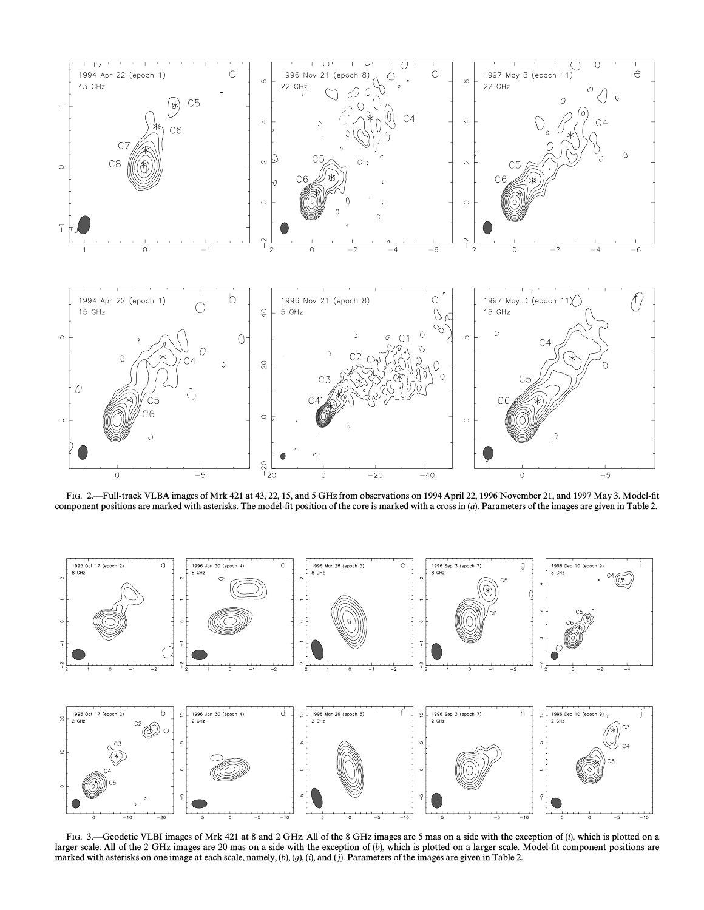

FIG. 2.-Full-track VLBA images of Mrk 421 at 43, 22, 15, and 5 GHz from observations on 1994 April 22, 1996 November 21, and 1997 May 3. Model-fit component positions are marked with asterisks. The model-fit position of the core is marked with a cross in (a). Parameters of the images are given in Table 2.



FIG. 3.—Geodetic VLBI images of Mrk 421 at 8 and 2 GHz. All of the 8 GHz images are 5 mas on a side with the exception of (i), which is plotted on a larger scale. All of the 2 GHz images are 20 mas on a side with the exception of (b), which is plotted on a larger scale. Model-fit component positions are marked with asterisks on one image at each scale, namely, (b), (g), (i), and (j). Parameters of the images are given in Table 2.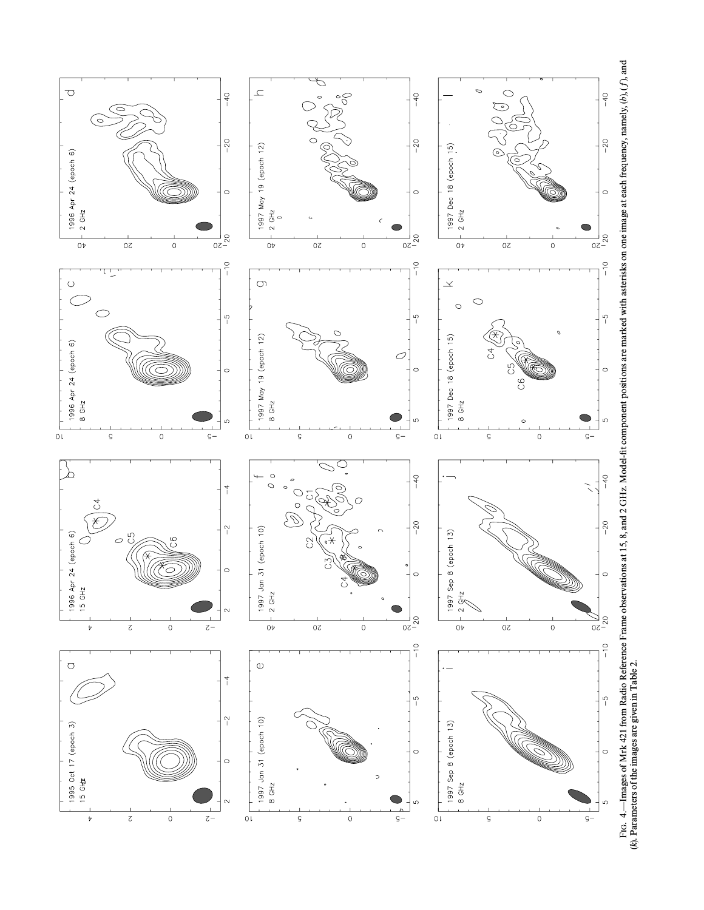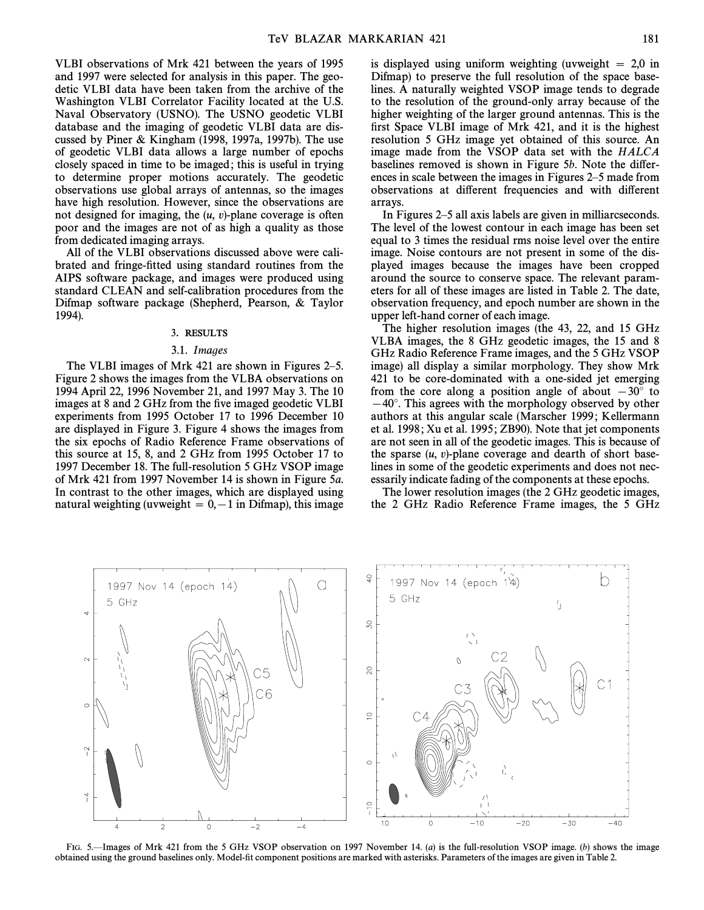VLBI observations of Mrk 421 between the years of 1995 and 1997 were selected for analysis in this paper. The geodetic VLBI data have been taken from the archive of the Washington VLBI Correlator Facility located at the U.S. Naval Observatory (USNO). The USNO geodetic VLBI database and the imaging of geodetic VLBI data are discussed by Piner & Kingham (1998, 1997a, 1997b). The use of geodetic VLBI data allows a large number of epochs closely spaced in time to be imaged ; this is useful in trying to determine proper motions accurately. The geodetic observations use global arrays of antennas, so the images have high resolution. However, since the observations are not designed for imaging, the  $(u, v)$ -plane coverage is often poor and the images are not of as high a quality as those from dedicated imaging arrays.

All of the VLBI observations discussed above were calibrated and fringe-fitted using standard routines from the AIPS software package, and images were produced using standard CLEAN and self-calibration procedures from the Difmap software package (Shepherd, Pearson, & Taylor 1994).

#### 3. RESULTS

#### 3.1. Images

The VLBI images of Mrk  $421$  are shown in Figures 2–5. Figure 2 shows the images from the VLBA observations on 1994 April 22, 1996 November 21, and 1997 May 3. The 10 images at 8 and 2 GHz from the five imaged geodetic VLBI experiments from 1995 October 17 to 1996 December 10 are displayed in Figure 3. Figure 4 shows the images from the six epochs of Radio Reference Frame observations of this source at 15, 8, and 2 GHz from 1995 October 17 to 1997 December 18. The full-resolution 5 GHz VSOP image of Mrk 421 from 1997 November 14 is shown in Figure 5a. In contrast to the other images, which are displayed using natural weighting (uvweight  $= 0, -1$  in Difmap), this image is displayed using uniform weighting (uvweight  $\ = 2,0$  in Difmap) to preserve the full resolution of the space baselines. A naturally weighted VSOP image tends to degrade to the resolution of the ground-only array because of the higher weighting of the larger ground antennas. This is the first Space VLBI image of Mrk 421, and it is the highest resolution 5 GHz image yet obtained of this source. An image made from the VSOP data set with the HALCA baselines removed is shown in Figure 5b. Note the differences in scale between the images in Figures 2–5 made from observations at different frequencies and with different arrays.

In Figures 2–5 all axis labels are given in milliarcseconds. The level of the lowest contour in each image has been set equal to 3 times the residual rms noise level over the entire image. Noise contours are not present in some of the displayed images because the images have been cropped around the source to conserve space. The relevant parameters for all of these images are listed in Table 2. The date, observation frequency, and epoch number are shown in the upper left-hand corner of each image.

The higher resolution images (the 43, 22, and 15 GHz VLBA images, the 8 GHz geodetic images, the 15 and 8 GHz Radio Reference Frame images, and the 5 GHz VSOP image) all display a similar morphology. They show Mrk 421 to be core-dominated with a one-sided jet emerging from the core along a position angle of about  $-30°$  to  $-40^\circ$ . This agrees with the morphology observed by other authors at this angular scale (Marscher 1999 ; Kellermann et al. 1998; Xu et al. 1995; ZB90). Note that jet components are not seen in all of the geodetic images. This is because of the sparse  $(u, v)$ -plane coverage and dearth of short baselines in some of the geodetic experiments and does not necessarily indicate fading of the components at these epochs.

The lower resolution images (the 2 GHz geodetic images, the 2 GHz Radio Reference Frame images, the 5 GHz



FIG. 5.—Images of Mrk 421 from the 5 GHz VSOP observation on 1997 November 14. (a) is the full-resolution VSOP image. (b) shows the image obtained using the ground baselines only. Model-Ðt component positions are marked with asterisks. Parameters of the images are given in Table 2.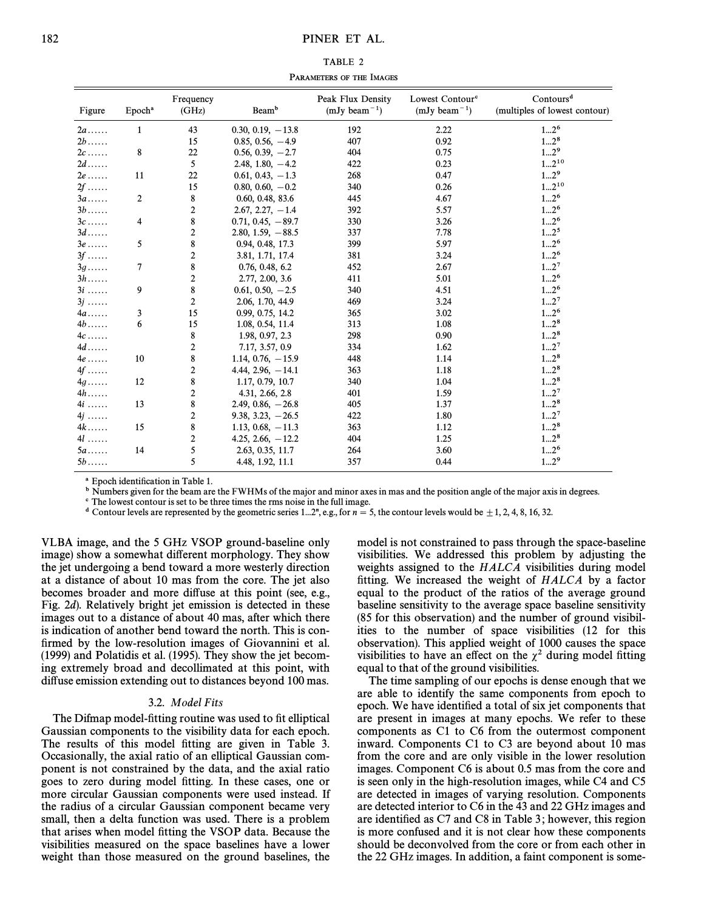TABLE 2 PARAMETERS OF THE IMAGES

| Figure      | Epoch <sup>a</sup> | Frequency<br>(GHz) | Beam <sup>b</sup>      | Peak Flux Density<br>$(mJy beam^{-1})$ | Lowest Contour <sup>c</sup><br>$(mJy beam^{-1})$ | Contours <sup>d</sup><br>(multiples of lowest contour) |
|-------------|--------------------|--------------------|------------------------|----------------------------------------|--------------------------------------------------|--------------------------------------------------------|
| $2a$        | $\mathbf{1}$       | 43                 | $0.30, 0.19, -13.8$    | 192                                    | 2.22                                             | 12 <sup>6</sup>                                        |
| $2b$        |                    | 15                 | $0.85, 0.56, -4.9$     | 407                                    | 0.92                                             | $12^8$                                                 |
| $2c \ldots$ | 8                  | 22                 | $0.56, 0.39, -2.7$     | 404                                    | 0.75                                             | $12^9$                                                 |
| $2d$        |                    | 5                  | $2.48, 1.80, -4.2$     | 422                                    | 0.23                                             | $12^{10}$                                              |
| $2e$        | 11                 | 22                 | $0.61, 0.43, -1.3$     | 268                                    | 0.47                                             | 12 <sup>9</sup>                                        |
| $2f$        |                    | 15                 | $0.80, 0.60, -0.2$     | 340                                    | 0.26                                             | $12^{10}$                                              |
| $3a$        | $\boldsymbol{2}$   | $\bf 8$            | 0.60, 0.48, 83.6       | 445                                    | 4.67                                             | 12 <sup>6</sup>                                        |
| $3b$        |                    | $\boldsymbol{2}$   | $2.67, 2.27, -1.4$     | 392                                    | 5.57                                             | 12 <sup>6</sup>                                        |
| $3c$        | 4                  | 8                  | $0.71, 0.45, -89.7$    | 330                                    | 3.26                                             | 12 <sup>6</sup>                                        |
| $3d$        |                    | $\boldsymbol{2}$   | $2.80, 1.59, -88.5$    | 337                                    | 7.78                                             | 12 <sup>5</sup>                                        |
| $3e$        | 5                  | 8                  | 0.94, 0.48, 17.3       | 399                                    | 5.97                                             | 12 <sup>6</sup>                                        |
| $3f$        |                    | $\boldsymbol{2}$   | 3.81, 1.71, 17.4       | 381                                    | 3.24                                             | 12 <sup>6</sup>                                        |
| $3q$        | 7                  | $\bf 8$            | 0.76, 0.48, 6.2        | 452                                    | 2.67                                             | 12 <sup>7</sup>                                        |
| $3h$        |                    | $\boldsymbol{2}$   | 2.77, 2.00, 3.6        | 411                                    | 5.01                                             | 12 <sup>6</sup>                                        |
| $3i$        | 9                  | 8                  | $0.61, 0.50, -2.5$     | 340                                    | 4.51                                             | 12 <sup>6</sup>                                        |
| $3j$        |                    | $\boldsymbol{2}$   | 2.06, 1.70, 44.9       | 469                                    | 3.24                                             | 12 <sup>7</sup>                                        |
| $4a$        | 3                  | 15                 | 0.99, 0.75, 14.2       | 365                                    | 3.02                                             | 12 <sup>6</sup>                                        |
| $4b$        | 6                  | 15                 | 1.08, 0.54, 11.4       | 313                                    | 1.08                                             | $12^8$                                                 |
| $4c \ldots$ |                    | $\bf 8$            | 1.98, 0.97, 2.3        | 298                                    | 0.90                                             | $12^8$                                                 |
| $4d$        |                    | $\boldsymbol{2}$   | 7.17, 3.57, 0.9        | 334                                    | 1.62                                             | 12 <sup>7</sup>                                        |
| $4e$        | 10                 | 8                  | 1.14, $0.76$ , $-15.9$ | 448                                    | 1.14                                             | $12^8$                                                 |
| $4f$        |                    | $\boldsymbol{2}$   | $4.44, 2.96, -14.1$    | 363                                    | 1.18                                             | $12^8$                                                 |
| $4q$        | 12                 | 8                  | 1.17, 0.79, 10.7       | 340                                    | 1.04                                             | $12^8$                                                 |
| $4h$        |                    | $\boldsymbol{2}$   | 4.31, 2.66, 2.8        | 401                                    | 1.59                                             | 12 <sup>7</sup>                                        |
| $4i$        | 13                 | 8                  | $2.49, 0.86, -26.8$    | 405                                    | 1.37                                             | $12^8$                                                 |
| $4j$        |                    | $\boldsymbol{2}$   | $9.38, 3.23, -26.5$    | 422                                    | 1.80                                             | 12 <sup>7</sup>                                        |
| $4k$        | 15                 | 8                  | $1.13, 0.68, -11.3$    | 363                                    | 1.12                                             | $12^8$                                                 |
| $4l$        |                    | $\overline{2}$     | 4.25, 2.66, $-12.2$    | 404                                    | 1.25                                             | $12^8$                                                 |
| $5a$        | 14                 | 5                  | 2.63, 0.35, 11.7       | 264                                    | 3.60                                             | 12 <sup>6</sup>                                        |
| $5b$        |                    | 5                  | 4.48, 1.92, 11.1       | 357                                    | 0.44                                             | $12^9$                                                 |

<sup>a</sup> Epoch identification in Table 1.

<sup>b</sup> Numbers given for the beam are the FWHMs of the major and minor axes in mas and the position angle of the major axis in degrees.

 $\degree$  The lowest contour is set to be three times the rms noise in the full image.

<sup>d</sup> Contour levels are represented by the geometric series 1...2<sup>n</sup>, e.g., for  $n = 5$ , the contour levels would be  $\pm 1, 2, 4, 8, 16, 32$ .

VLBA image, and the 5 GHz VSOP ground-baseline only image) show a somewhat different morphology. They show the jet undergoing a bend toward a more westerly direction at a distance of about 10 mas from the core. The jet also becomes broader and more diffuse at this point (see, e.g., Fig. 2d). Relatively bright jet emission is detected in these images out to a distance of about 40 mas, after which there is indication of another bend toward the north. This is confirmed by the low-resolution images of Giovannini et al. (1999) and Polatidis et al. (1995). They show the jet becoming extremely broad and decollimated at this point, with diffuse emission extending out to distances beyond 100 mas.

#### 3.2. Model Fits

The Difmap model-fitting routine was used to fit elliptical Gaussian components to the visibility data for each epoch. The results of this model fitting are given in Table 3. Occasionally, the axial ratio of an elliptical Gaussian component is not constrained by the data, and the axial ratio goes to zero during model fitting. In these cases, one or more circular Gaussian components were used instead. If the radius of a circular Gaussian component became very small, then a delta function was used. There is a problem that arises when model fitting the VSOP data. Because the visibilities measured on the space baselines have a lower weight than those measured on the ground baselines, the model is not constrained to pass through the space-baseline visibilities. We addressed this problem by adjusting the weights assigned to the  $HALCA$  visibilities during model fitting. We increased the weight of  $HALCA$  by a factor equal to the product of the ratios of the average ground baseline sensitivity to the average space baseline sensitivity (85 for this observation) and the number of ground visibilities to the number of space visibilities (12 for this observation). This applied weight of 1000 causes the space visibilities to have an effect on the  $\chi^2$  during model fitting equal to that of the ground visibilities.

The time sampling of our epochs is dense enough that we are able to identify the same components from epoch to epoch. We have identified a total of six jet components that are present in images at many epochs. We refer to these components as C1 to C6 from the outermost component inward. Components C1 to C3 are beyond about 10 mas from the core and are only visible in the lower resolution images. Component C6 is about 0.5 mas from the core and is seen only in the high-resolution images, while C4 and C5 are detected in images of varying resolution. Components are detected interior to C6 in the 43 and 22 GHz images and are identified as  $C7$  and  $C8$  in Table 3; however, this region is more confused and it is not clear how these components should be deconvolved from the core or from each other in the 22 GHz images. In addition, a faint component is some-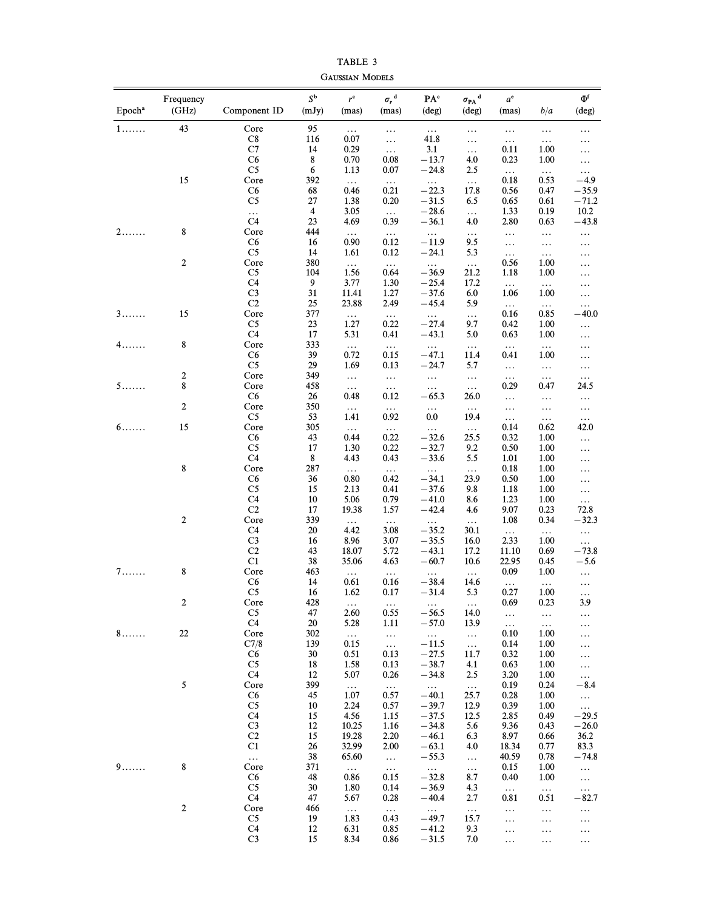| Epoch <sup>a</sup> | Frequency<br>(GHz) | Component ID         | $S^{\mathbf{b}}$<br>(mJy) | $r^{\mathrm{c}}$<br>(mas) | $\sigma_r^{\ d}$<br>(mas) | PA°<br>(deg) | $\sigma_{\rm PA}^{\phantom{\dag}}{}^{\rm d}$<br>$(\text{deg})$ | $a^e$<br>(mas) | b/a              | $\Phi^{\rm f}$<br>(deg) |
|--------------------|--------------------|----------------------|---------------------------|---------------------------|---------------------------|--------------|----------------------------------------------------------------|----------------|------------------|-------------------------|
| $1$                | 43                 | Core                 | 95                        | $\ldots$                  | $\ldots$                  | $\ldots$     | $\ldots$                                                       | $\ldots$       | $\ldots$         | $\ldots$                |
|                    |                    | C8                   | 116                       | 0.07                      | $\ldots$                  | 41.8         | $\cdots$                                                       | $\ldots$       | $\ldots$         | $\cdots$                |
|                    |                    | C7                   | 14                        | 0.29                      | $\ldots$                  | 3.1          | $\ldots$                                                       | 0.11           | 1.00             | $\ldots$                |
|                    |                    | C6                   | 8                         | 0.70                      | 0.08                      | $-13.7$      | 4.0                                                            | 0.23           | 1.00             | $\ldots$                |
|                    |                    | C <sub>5</sub>       | 6                         | 1.13                      | 0.07                      | $-24.8$      | 2.5                                                            | $\ldots$       | $\ldots$         | $\ldots$                |
|                    | 15                 | Core                 | 392                       | $\ldots$                  | $\ldots$                  | $\ldots$     | $\ldots$                                                       | 0.18           | 0.53             | $-4.9$                  |
|                    |                    | C6                   | 68                        | 0.46                      | 0.21                      | $-22.3$      | 17.8                                                           | 0.56           | 0.47             | $-35.9$                 |
|                    |                    | C <sub>5</sub>       | 27                        | 1.38                      | 0.20                      | $-31.5$      | 6.5                                                            | 0.65           | 0.61             | $-71.2$                 |
|                    |                    | .                    | 4                         | 3.05                      | $\ldots$                  | $-28.6$      | $\ldots$                                                       | 1.33           | 0.19             | 10.2                    |
|                    |                    | C <sub>4</sub>       | 23                        | 4.69                      | 0.39                      | $-36.1$      | 4.0                                                            | 2.80           | 0.63             | $-43.8$                 |
| 2.                 | 8                  | Core                 | 444                       | $\ldots$                  | $\ldots$                  | $\ldots$     | $\ldots$                                                       | $\ldots$       | $\ldots$         | $\ldots$                |
|                    |                    | C6                   | 16                        | 0.90                      | 0.12                      | $-11.9$      | 9.5                                                            | $\ldots$       |                  |                         |
|                    |                    | C5                   | 14                        | 1.61                      | 0.12                      | $-24.1$      | 5.3                                                            | $\ldots$       | $\ldots$         | $\ldots$                |
|                    | $\boldsymbol{2}$   | Core                 | 380                       |                           |                           |              |                                                                | 0.56           | $\ldots$<br>1.00 | $\cdots$                |
|                    |                    |                      | 104                       | $\ldots$                  | $\ldots$                  | $\cdots$     | $\ldots$                                                       |                |                  | $\cdots$                |
|                    |                    | C5                   |                           | 1.56                      | 0.64                      | $-36.9$      | 21.2                                                           | 1.18           | 1.00             | $\cdots$                |
|                    |                    | C4                   | 9                         | 3.77                      | 1.30                      | $-25.4$      | 17.2                                                           | $\ldots$       | $\ldots$         | $\cdots$                |
|                    |                    | C <sub>3</sub>       | 31                        | 11.41                     | 1.27                      | $-37.6$      | 6.0                                                            | 1.06           | 1.00             | $\ldots$                |
|                    |                    | C2                   | 25                        | 23.88                     | 2.49                      | $-45.4$      | 5.9                                                            | $\ldots$       | $\ldots$         | $\ldots$                |
| 3.                 | 15                 | Core                 | 377                       | $\ldots$                  | $\ldots$                  | $\ldots$     | $\ldots$                                                       | 0.16           | 0.85             | $-40.0$                 |
|                    |                    | C5                   | 23                        | 1.27                      | 0.22                      | $-27.4$      | 9.7                                                            | 0.42           | 1.00             | $\ldots$                |
|                    |                    | C4                   | 17                        | 5.31                      | 0.41                      | $-43.1$      | 5.0                                                            | 0.63           | 1.00             | $\ldots$                |
| 4.                 | $\bf 8$            | Core                 | 333                       | $\ldots$                  | $\ldots$                  | $\cdots$     | $\ldots$                                                       | $\ldots$       | $\ldots$         | $\ldots$                |
|                    |                    | C6                   | 39                        | 0.72                      | 0.15                      | $-47.1$      | 11.4                                                           | 0.41           | 1.00             | $\cdots$                |
|                    |                    | C <sub>5</sub>       | 29                        | 1.69                      | 0.13                      | $-24.7$      | 5.7                                                            | $\ldots$       | $\ldots$         | $\ldots$                |
|                    | $\sqrt{2}$         | Core                 | 349                       | $\ldots$                  | $\ldots$                  | $\ldots$     | $\ldots$                                                       | $\ldots$       | $\ldots$         | $\ldots$                |
| 5                  | 8                  | Core                 | 458                       | $\ldots$                  | $\ldots$                  | $\ldots$     | $\ldots$                                                       | 0.29           | 0.47             | 24.5                    |
|                    |                    | C6                   | 26                        | 0.48                      | 0.12                      | $-65.3$      | 26.0                                                           | $\ldots$       | .                | $\ldots$                |
|                    | $\overline{2}$     | Core                 | 350                       | $\ldots$                  | $\ldots$                  | $\ldots$     | $\ddots$                                                       | $\ldots$       | .                | $\ldots$                |
|                    |                    | C <sub>5</sub>       | 53                        | 1.41                      | 0.92                      | 0.0          | 19.4                                                           | $\ldots$       | $\cdots$         | $\ldots$                |
| $6 \ldots$         | 15                 | Core                 | 305                       |                           |                           | $\ldots$     |                                                                | 0.14           | 0.62             | 42.0                    |
|                    |                    | C6                   | 43                        | $\ldots$<br>0.44          | $\ldots$<br>0.22          | $-32.6$      | $\ldots$<br>25.5                                               | 0.32           | 1.00             |                         |
|                    |                    | C <sub>5</sub>       | 17                        |                           |                           |              |                                                                |                |                  | .                       |
|                    |                    |                      |                           | 1.30                      | 0.22                      | $-32.7$      | 9.2                                                            | 0.50           | 1.00             | $\cdots$                |
|                    |                    | C4                   | 8                         | 4.43                      | 0.43                      | $-33.6$      | 5.5                                                            | 1.01           | 1.00             | $\cdots$                |
|                    | 8                  | Core                 | 287                       | $\ldots$                  | $\ldots$                  | $\ldots$     | $\ddots$                                                       | 0.18           | 1.00             | $\cdots$                |
|                    |                    | C6                   | 36                        | 0.80                      | 0.42                      | $-34.1$      | 23.9                                                           | 0.50           | 1.00             | .                       |
|                    |                    | C <sub>5</sub>       | 15                        | 2.13                      | 0.41                      | $-37.6$      | 9.8                                                            | 1.18           | 1.00             | $\ldots$                |
|                    |                    | C <sub>4</sub>       | 10                        | 5.06                      | 0.79                      | $-41.0$      | 8.6                                                            | 1.23           | 1.00             | $\ldots$                |
|                    |                    | C2                   | 17                        | 19.38                     | 1.57                      | $-42.4$      | 4.6                                                            | 9.07           | 0.23             | 72.8                    |
|                    | $\overline{2}$     | Core                 | 339                       | $\ldots$                  | $\ldots$                  | $\ldots$     | $\ldots$                                                       | 1.08           | 0.34             | $-32.3$                 |
|                    |                    | C4                   | 20                        | 4.42                      | 3.08                      | $-35.2$      | 30.1                                                           | $\ldots$       | $\ldots$         | $\ldots$                |
|                    |                    | C <sub>3</sub>       | 16                        | 8.96                      | 3.07                      | $-35.5$      | 16.0                                                           | 2.33           | 1.00             | $\ldots$                |
|                    |                    | C <sub>2</sub>       | 43                        | 18.07                     | 5.72                      | $-43.1$      | 17.2                                                           | 11.10          | 0.69             | $-73.8$                 |
|                    |                    | C1                   | 38                        | 35.06                     | 4.63                      | $-60.7$      | 10.6                                                           | 22.95          | 0.45             | $-5.6$                  |
| 7.                 | 8                  | Core                 | 463                       | $\ldots$                  | $\ldots$                  | $\ldots$     | $\ldots$                                                       | 0.09           | 1.00             | $\ldots$                |
|                    |                    | C6                   | 14                        | 0.61                      | 0.16                      | $-38.4$      | 14.6                                                           | $\ldots$       |                  |                         |
|                    |                    | C <sub>5</sub>       | 16                        | 1.62                      | 0.17                      | $-31.4$      | 5.3                                                            | 0.27           | $\ldots$<br>1.00 | $\cdots$                |
|                    | 2                  | Core                 | 428                       |                           |                           |              |                                                                | 0.69           | 0.23             | $\cdots$<br>3.9         |
|                    |                    |                      |                           | $\ldots$                  | $\ldots$                  | $\ldots$     | $\ldots$                                                       |                |                  |                         |
|                    |                    | C <sub>5</sub><br>C4 | 47                        | 2.60                      | 0.55                      | $-56.5$      | 14.0                                                           | $\ldots$       | $\ldots$         | $\ldots$                |
|                    |                    |                      | 20                        | 5.28                      | 1.11                      | $-57.0$      | 13.9                                                           | $\ldots$       | $\ldots$         | $\cdots$                |
| 8.                 | 22                 | Core                 | 302                       | $\ldots$                  | $\ldots$                  | $\ldots$     | $\ldots$                                                       | 0.10           | 1.00             | $\cdots$                |
|                    |                    | C7/8                 | 139                       | 0.15                      | $\ldots$                  | $-11.5$      | $\ldots$                                                       | 0.14           | 1.00             | $\cdots$                |
|                    |                    | C6                   | 30                        | 0.51                      | 0.13                      | $-27.5$      | 11.7                                                           | 0.32           | 1.00             | $\cdots$                |
|                    |                    | C5                   | 18                        | 1.58                      | 0.13                      | $-38.7$      | 4.1                                                            | 0.63           | 1.00             | $\ldots$                |
|                    |                    | C4                   | 12                        | 5.07                      | 0.26                      | $-34.8$      | 2.5                                                            | 3.20           | 1.00             | $\ldots$                |
|                    | 5                  | Core                 | 399                       | $\ldots$                  | $\ldots$                  | $\ldots$     | $\ldots$                                                       | 0.19           | 0.24             | $-8.4$                  |
|                    |                    | C6                   | 45                        | 1.07                      | 0.57                      | $-40.1$      | 25.7                                                           | 0.28           | 1.00             | $\ldots$                |
|                    |                    | C5                   | 10                        | 2.24                      | 0.57                      | $-39.7$      | 12.9                                                           | 0.39           | 1.00             | $\ldots$                |
|                    |                    | C4                   | 15                        | 4.56                      | 1.15                      | $-37.5$      | 12.5                                                           | 2.85           | 0.49             | $-29.5$                 |
|                    |                    | C <sub>3</sub>       | 12                        | 10.25                     | 1.16                      | $-34.8$      | 5.6                                                            | 9.36           | 0.43             | $-26.0$                 |
|                    |                    | C2                   | 15                        | 19.28                     | 2.20                      | $-46.1$      | 6.3                                                            | 8.97           | 0.66             | 36.2                    |
|                    |                    | C1                   | 26                        | 32.99                     | 2.00                      | $-63.1$      | 4.0                                                            | 18.34          | 0.77             | 83.3                    |
|                    |                    |                      | 38                        | 65.60                     |                           | $-55.3$      |                                                                | 40.59          | 0.78             | $-74.8$                 |
|                    | 8                  | $\ldots$             | 371                       |                           | $\ldots$                  |              | $\ldots$                                                       |                |                  |                         |
| 9                  |                    | Core                 |                           | $\ldots$                  | $\ldots$                  | $\ldots$     | $\ldots$                                                       | 0.15           | 1.00             | $\ldots$                |
|                    |                    | C <sub>6</sub>       | 48                        | 0.86                      | 0.15                      | $-32.8$      | 8.7                                                            | 0.40           | 1.00             | $\ldots$                |
|                    |                    | C5                   | 30                        | 1.80                      | 0.14                      | $-36.9$      | 4.3                                                            | $\ldots$       | $\ldots$         | $\ldots$                |
|                    |                    | C4                   | 47                        | 5.67                      | 0.28                      | $-40.4$      | 2.7                                                            | 0.81           | 0.51             | $-82.7$                 |
|                    | 2                  | Core                 | 466                       | $\ldots$                  | $\ldots$                  | $\ldots$     | $\ldots$                                                       | $\ldots$       | .                | $\ldots$                |
|                    |                    | C5                   | 19                        | 1.83                      | 0.43                      | $-49.7$      | 15.7                                                           | .              | .                | $\cdots$                |
|                    |                    | C <sub>4</sub>       | 12                        | 6.31                      | 0.85                      | $-41.2$      | 9.3                                                            | $\cdots$       | $\cdots$         | $\cdots$                |
|                    |                    | C <sub>3</sub>       | 15                        | 8.34                      | 0.86                      | $-31.5$      | 7.0                                                            | .              | .                | $\cdots$                |
|                    |                    |                      |                           |                           |                           |              |                                                                |                |                  |                         |

TABLE 3 GAUSSIAN MODELS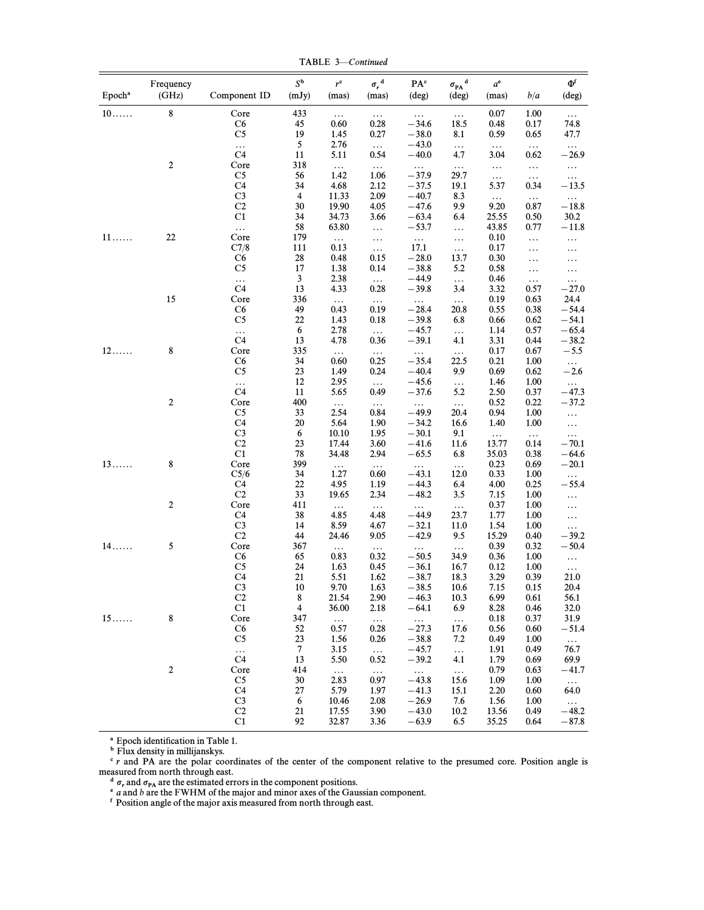TABLE 3-Continued

| Epoch <sup>a</sup> | Frequency<br>(GHz) | Component ID                     | $S^{\mathbf{b}}$<br>(mJy) | $r^{\rm c}$<br>(mas) | $\sigma_r^{\ \ d}$<br>(mas) | $\mathbf{P}\mathbf{A}^{\text{c}}$<br>(deg) | ${\sigma_{\rm PA}}^{\rm d}$<br>$(\text{deg})$ | $a^e$<br>(mas)    | b/a              | $\Phi$ f<br>(deg)    |
|--------------------|--------------------|----------------------------------|---------------------------|----------------------|-----------------------------|--------------------------------------------|-----------------------------------------------|-------------------|------------------|----------------------|
| $10 \ldots$        | 8                  | Core                             | 433                       | $\ldots$             | $\ldots$                    | $\ldots$                                   | $\ldots$                                      | 0.07              | 1.00             | $\ldots$             |
|                    |                    | C6                               | 45                        | 0.60                 | 0.28                        | $-34.6$                                    | 18.5                                          | 0.48              | 0.17             | 74.8                 |
|                    |                    | C <sub>5</sub>                   | 19                        | 1.45                 | 0.27                        | $-38.0$                                    | 8.1                                           | 0.59              | 0.65             | 47.7                 |
|                    |                    | $\ldots$<br>C4                   | 5<br>11                   | 2.76<br>5.11         | $\ldots$<br>0.54            | $-43.0$<br>$-40.0$                         | $\ldots$<br>4.7                               | $\ldots$<br>3.04  | $\ldots$         | $\ldots$<br>$-26.9$  |
|                    | $\boldsymbol{2}$   | Core                             | 318                       | $\ldots$             | $\ldots$                    | $\ldots$                                   | $\ldots$                                      | $\ldots$          | 0.62<br>$\ldots$ | $\ldots$             |
|                    |                    | C <sub>5</sub>                   | 56                        | 1.42                 | 1.06                        | $-37.9$                                    | 29.7                                          | $\ldots$          | $\ldots$         | $\ldots$             |
|                    |                    | C <sub>4</sub>                   | 34                        | 4.68                 | 2.12                        | $-37.5$                                    | 19.1                                          | 5.37              | 0.34             | $-13.5$              |
|                    |                    | C <sub>3</sub>                   | 4                         | 11.33                | 2.09                        | $-40.7$                                    | 8.3                                           | $\ldots$          | $\ldots$         | $\ldots$             |
|                    |                    | C <sub>2</sub><br>C1             | 30<br>34                  | 19.90                | 4.05                        | $-47.6$                                    | 9.9                                           | 9.20              | 0.87             | $-18.8$              |
|                    |                    | $\ldots$                         | 58                        | 34.73<br>63.80       | 3.66<br>$\ldots$            | $-63.4$<br>$-53.7$                         | 6.4<br>$\ldots$                               | 25.55<br>43.85    | 0.50<br>0.77     | 30.2<br>$-11.8$      |
| $11 \ldots$        | 22                 | Core                             | 179                       | $\ldots$             | $\ldots$                    | $\ldots$                                   | $\ldots$                                      | 0.10              | $\ldots$         | $\ldots$             |
|                    |                    | C7/8                             | 111                       | 0.13                 | $\ldots$                    | 17.1                                       | $\ldots$                                      | 0.17              | $\ldots$         | .                    |
|                    |                    | C6                               | 28                        | 0.48                 | 0.15                        | $-28.0$                                    | 13.7                                          | 0.30              | .                | .                    |
|                    |                    | C <sub>5</sub>                   | 17                        | 1.38                 | 0.14                        | $-38.8$                                    | 5.2                                           | 0.58              | $\cdots$         | .                    |
|                    |                    | $\ldots$                         | $\mathbf{3}$              | 2.38                 | $\ldots$                    | -44.9                                      | $\ldots$                                      | 0.46              | $\ldots$         | $\cdots$             |
|                    | 15                 | C <sub>4</sub><br>Core           | 13<br>336                 | 4.33                 | 0.28                        | $-39.8$                                    | 3.4                                           | 3.32<br>0.19      | 0.57<br>0.63     | $-27.0$<br>24.4      |
|                    |                    | C6                               | 49                        | $\ldots$<br>0.43     | $\ldots$<br>0.19            | $\ldots$<br>$-28.4$                        | $\ldots$<br>20.8                              | 0.55              | 0.38             | $-54.4$              |
|                    |                    | C <sub>5</sub>                   | 22                        | 1.43                 | 0.18                        | $-39.8$                                    | 6.8                                           | 0.66              | 0.62             | $-54.1$              |
|                    |                    | $\ldots$                         | 6                         | 2.78                 | $\ldots$                    | $-45.7$                                    | $\ldots$                                      | 1.14              | 0.57             | $-65.4$              |
|                    |                    | C <sub>4</sub>                   | 13                        | 4.78                 | 0.36                        | $-39.1$                                    | 4.1                                           | 3.31              | 0.44             | $-38.2$              |
| $12 \ldots$        | 8                  | Core                             | 335                       | $\ldots$             | $\ldots$                    | $\ldots$                                   | $\ldots$                                      | 0.17              | 0.67             | $-5.5$               |
|                    |                    | C6<br>C <sub>5</sub>             | 34<br>23                  | 0.60<br>1.49         | 0.25<br>0.24                | $-35.4$<br>$-40.4$                         | 22.5<br>9.9                                   | 0.21<br>0.69      | 1.00<br>0.62     | $\ldots$<br>$-2.6$   |
|                    |                    | $\ldots$                         | 12                        | 2.95                 | $\ldots$                    | $-45.6$                                    | $\ldots$                                      | 1.46              | 1.00             | $\ldots$             |
|                    |                    | C4                               | 11                        | 5.65                 | 0.49                        | $-37.6$                                    | 5.2                                           | 2.50              | 0.37             | $-47.3$              |
|                    | $\boldsymbol{2}$   | Core                             | 400                       | $\ldots$             | $\ldots$                    | $\ldots$                                   | $\ldots$                                      | 0.52              | 0.22             | $-37.2$              |
|                    |                    | C <sub>5</sub>                   | 33                        | 2.54                 | 0.84                        | $-49.9$                                    | 20.4                                          | 0.94              | 1.00             | $\ldots$             |
|                    |                    | C <sub>4</sub>                   | 20                        | 5.64                 | 1.90                        | $-34.2$                                    | 16.6                                          | 1.40              | 1.00             | $\ldots$             |
|                    |                    | C <sub>3</sub><br>C <sub>2</sub> | 6<br>23                   | 10.10<br>17.44       | 1.95<br>3.60                | $-30.1$<br>$-41.6$                         | 9.1<br>11.6                                   | $\ldots$<br>13.77 | $\ldots$         | $\ldots$<br>$-70.1$  |
|                    |                    | C1                               | 78                        | 34.48                | 2.94                        | $-65.5$                                    | 6.8                                           | 35.03             | 0.14<br>0.38     | $-64.6$              |
| $13\dots$          | 8                  | Core                             | 399                       | $\ldots$             | $\ldots$                    | $\ldots$                                   | $\ldots$                                      | 0.23              | 0.69             | $-20.1$              |
|                    |                    | C5/6                             | 34                        | 1.27                 | 0.60                        | $-43.1$                                    | 12.0                                          | 0.33              | 1.00             | $\ldots$             |
|                    |                    | C4                               | 22                        | 4.95                 | 1.19                        | $-44.3$                                    | 6.4                                           | 4.00              | 0.25             | $-55.4$              |
|                    |                    | C <sub>2</sub>                   | 33                        | 19.65                | 2.34                        | $-48.2$                                    | 3.5                                           | 7.15              | 1.00             | .                    |
|                    | $\boldsymbol{2}$   | Core                             | 411                       | $\ldots$             | $\ldots$                    | $\ldots$                                   | $\ldots$                                      | 0.37              | 1.00             | $\ldots$             |
|                    |                    | C <sub>4</sub><br>C <sub>3</sub> | 38<br>14                  | 4.85<br>8.59         | 4.48<br>4.67                | $-44.9$<br>$-32.1$                         | 23.7<br>11.0                                  | 1.77<br>1.54      | 1.00<br>1.00     | $\ldots$<br>$\ldots$ |
|                    |                    | C <sub>2</sub>                   | 44                        | 24.46                | 9.05                        | $-42.9$                                    | 9.5                                           | 15.29             | 0.40             | $-39.2$              |
| $14 \ldots$        | $\sqrt{5}$         | Core                             | 367                       | $\cdots$             | $\ldots$                    | $\ldots$                                   | $\ldots$                                      | 0.39              | 0.32             | $-50.4$              |
|                    |                    | C6                               | 65                        | 0.83                 | 0.32                        | $-50.5$                                    | 34.9                                          | 0.36              | 1.00             | $\ldots$             |
|                    |                    | C <sub>5</sub>                   | 24                        | 1.63                 | 0.45                        | $-36.1$                                    | 16.7                                          | 0.12              | 1.00             | $\cdots$             |
|                    |                    | C <sub>4</sub><br>$\rm{C3}$      | 21                        | 5.51                 | 1.62                        | $-38.7$                                    | 18.3                                          | 3.29              | 0.39             | 21.0                 |
|                    |                    | C <sub>2</sub>                   | 10<br>8                   | 9.70<br>21.54        | 1.63<br>2.90                | $-38.5$<br>$-46.3$                         | $10.6\,$<br>10.3                              | 7.15<br>6.99      | 0.15<br>0.61     | 20.4<br>56.1         |
|                    |                    | C1                               | $\overline{4}$            | 36.00                | 2.18                        | $-64.1$                                    | 6.9                                           | 8.28              | 0.46             | 32.0                 |
| $15\dots$          | 8                  | Core                             | 347                       | $\ldots$             | $\ldots$                    | $\ldots$ .                                 | $\ldots$                                      | 0.18              | 0.37             | 31.9                 |
|                    |                    | C <sub>6</sub>                   | 52                        | 0.57                 | 0.28                        | $-27.3$                                    | 17.6                                          | 0.56              | 0.60             | $-51.4$              |
|                    |                    | C <sub>5</sub>                   | 23                        | 1.56                 | 0.26                        | $-38.8$                                    | 7.2                                           | 0.49              | 1.00             | $\ldots$             |
|                    |                    | $\ldots$                         | $7\phantom{.0}$           | 3.15                 | $\ldots$                    | $-45.7$                                    | $\ldots$                                      | 1.91              | 0.49             | 76.7                 |
|                    | $\boldsymbol{2}$   | C4<br>Core                       | 13<br>414                 | 5.50<br>$\ldots$     | 0.52<br>$\ldots$            | $-39.2$<br>$\cdots$                        | 4.1<br>$\bar{\omega}$ .                       | 1.79<br>0.79      | 0.69<br>0.63     | 69.9<br>$-41.7$      |
|                    |                    | C <sub>5</sub>                   | 30                        | 2.83                 | 0.97                        | $-43.8$                                    | 15.6                                          | 1.09              | 1.00             | $\ldots$             |
|                    |                    | C <sub>4</sub>                   | 27                        | 5.79                 | 1.97                        | $-41.3$                                    | 15.1                                          | 2.20              | 0.60             | 64.0                 |
|                    |                    | C <sub>3</sub>                   | 6                         | 10.46                | 2.08                        | $-26.9$                                    | 7.6                                           | 1.56              | 1.00             | $\ldots$             |
|                    |                    | C2                               | 21                        | 17.55                | 3.90                        | $-43.0$                                    | 10.2                                          | 13.56             | 0.49             | $-48.2$              |
|                    |                    | C1                               | 92                        | 32.87                | 3.36                        | $-63.9$                                    | 6.5                                           | 35.25             | 0.64             | $-87.8$              |

<sup>a</sup> Epoch identification in Table 1.

<sup>b</sup> Flux density in millijanskys.

 $c_r$  and PA are the polar coordinates of the center of the component relative to the presumed core. Position angle is measured from north through east.

 $d_{\sigma}$  and  $\sigma_{PA}$  are the estimated errors in the component positions.<br>• a and b are the FWHM of the major and minor axes of the Gaussian component.

<sup>f</sup> Position angle of the major axis measured from north through east.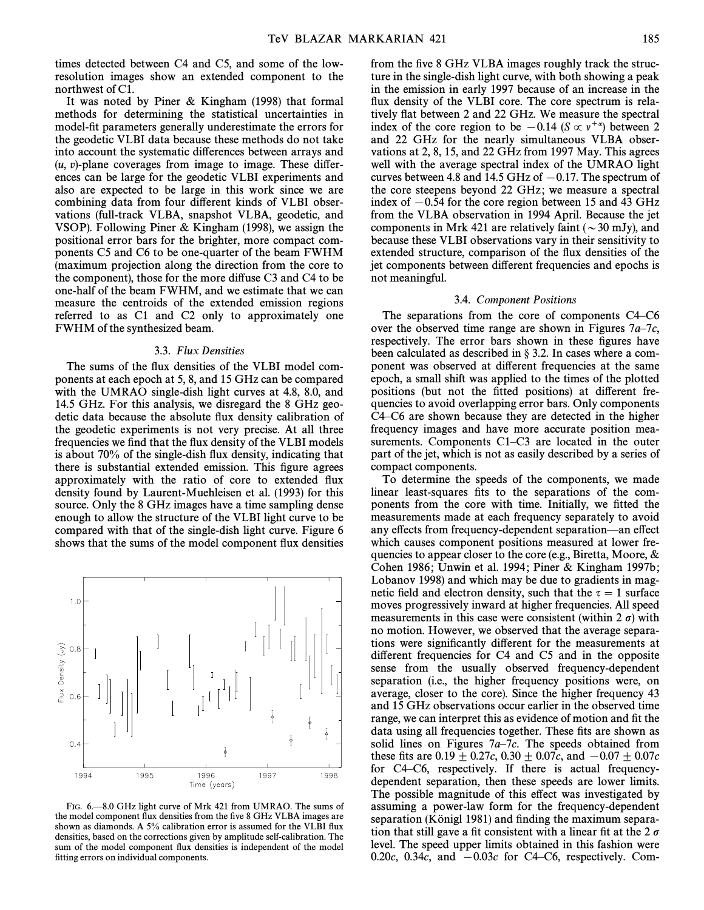times detected between C4 and C5, and some of the lowresolution images show an extended component to the northwest of C1.

It was noted by Piner & Kingham (1998) that formal methods for determining the statistical uncertainties in model-fit parameters generally underestimate the errors for the geodetic VLBI data because these methods do not take into account the systematic differences between arrays and  $(u, v)$ -plane coverages from image to image. These differences can be large for the geodetic VLBI experiments and also are expected to be large in this work since we are combining data from four different kinds of VLBI observations (full-track VLBA, snapshot VLBA, geodetic, and VSOP). Following Piner & Kingham (1998), we assign the positional error bars for the brighter, more compact components C5 and C6 to be one-quarter of the beam FWHM (maximum projection along the direction from the core to the component), those for the more diffuse  $C_3$  and  $C_4$  to be one-half of the beam FWHM, and we estimate that we can measure the centroids of the extended emission regions referred to as C1 and C2 only to approximately one FWHM of the synthesized beam.

#### 3.3. Flux Densities

The sums of the flux densities of the VLBI model components at each epoch at 5, 8, and 15 GHz can be compared with the UMRAO single-dish light curves at 4.8, 8.0, and 14.5 GHz. For this analysis, we disregard the 8 GHz geodetic data because the absolute flux density calibration of the geodetic experiments is not very precise. At all three frequencies we find that the flux density of the VLBI models is about 70% of the single-dish flux density, indicating that there is substantial extended emission. This figure agrees approximately with the ratio of core to extended Ñux density found by Laurent-Muehleisen et al. (1993) for this source. Only the 8 GHz images have a time sampling dense enough to allow the structure of the VLBI light curve to be compared with that of the single-dish light curve. Figure 6 shows that the sums of the model component Ñux densities



FIG. 6.—8.0 GHz light curve of Mrk 421 from UMRAO. The sums of the model component flux densities from the five 8 GHz VLBA images are shown as diamonds. A 5% calibration error is assumed for the VLBI flux densities, based on the corrections given by amplitude self-calibration. The sum of the model component flux densities is independent of the model fitting errors on individual components.

from the five 8 GHz VLBA images roughly track the structure in the single-dish light curve, with both showing a peak in the emission in early 1997 because of an increase in the flux density of the VLBI core. The core spectrum is relatively flat between 2 and 22 GHz. We measure the spectral index of the core region to be  $-0.14$  (S  $\propto v^{+\alpha}$ ) between 2 and 22 GHz for the nearly simultaneous VLBA observations at 2, 8, 15, and 22 GHz from 1997 May. This agrees well with the average spectral index of the UMRAO light curves between 4.8 and 14.5 GHz of  $-0.17$ . The spectrum of the core steepens beyond 22 GHz; we measure a spectral index of  $-0.54$  for the core region between 15 and 43 GHz from the VLBA observation in 1994 April. Because the jet components in Mrk 421 are relatively faint ( $\sim$ 30 mJy), and because these VLBI observations vary in their sensitivity to extended structure, comparison of the flux densities of the jet components between different frequencies and epochs is not meaningful.

#### 3.4. Component Positions

The separations from the core of components  $C4-C6$ over the observed time range are shown in Figures  $7a-7c$ , respectively. The error bars shown in these figures have been calculated as described in  $\S$  3.2. In cases where a component was observed at di†erent frequencies at the same epoch, a small shift was applied to the times of the plotted positions (but not the fitted positions) at different frequencies to avoid overlapping error bars. Only components  $C4-C6$  are shown because they are detected in the higher frequency images and have more accurate position measurements. Components  $C1-C3$  are located in the outer part of the jet, which is not as easily described by a series of compact components.

To determine the speeds of the components, we made linear least-squares fits to the separations of the components from the core with time. Initially, we fitted the measurements made at each frequency separately to avoid any effects from frequency-dependent separation—an effect which causes component positions measured at lower frequencies to appear closer to the core (e.g., Biretta, Moore, & Cohen 1986; Unwin et al. 1994; Piner & Kingham 1997b; Lobanov 1998) and which may be due to gradients in magnetic field and electron density, such that the  $\tau = 1$  surface moves progressively inward at higher frequencies. All speed measurements in this case were consistent (within  $2 \sigma$ ) with no motion. However, we observed that the average separations were significantly different for the measurements at different frequencies for C4 and C5 and in the opposite sense from the usually observed frequency-dependent separation (i.e., the higher frequency positions were, on average, closer to the core). Since the higher frequency 43 and 15 GHz observations occur earlier in the observed time range, we can interpret this as evidence of motion and fit the data using all frequencies together. These fits are shown as solid lines on Figures  $7a-7c$ . The speeds obtained from these fits are  $0.19 \pm 0.27c$ ,  $0.30 \pm 0.07c$ , and  $-0.07 \pm 0.07c$ for C4-C6, respectively. If there is actual frequencydependent separation, then these speeds are lower limits. The possible magnitude of this effect was investigated by assuming a power-law form for the frequency-dependent separation (Königl 1981) and finding the maximum separation that still gave a fit consistent with a linear fit at the 2  $\sigma$ level. The speed upper limits obtained in this fashion were 0.20c, 0.34c, and  $-0.03c$  for C4–C6, respectively. Com-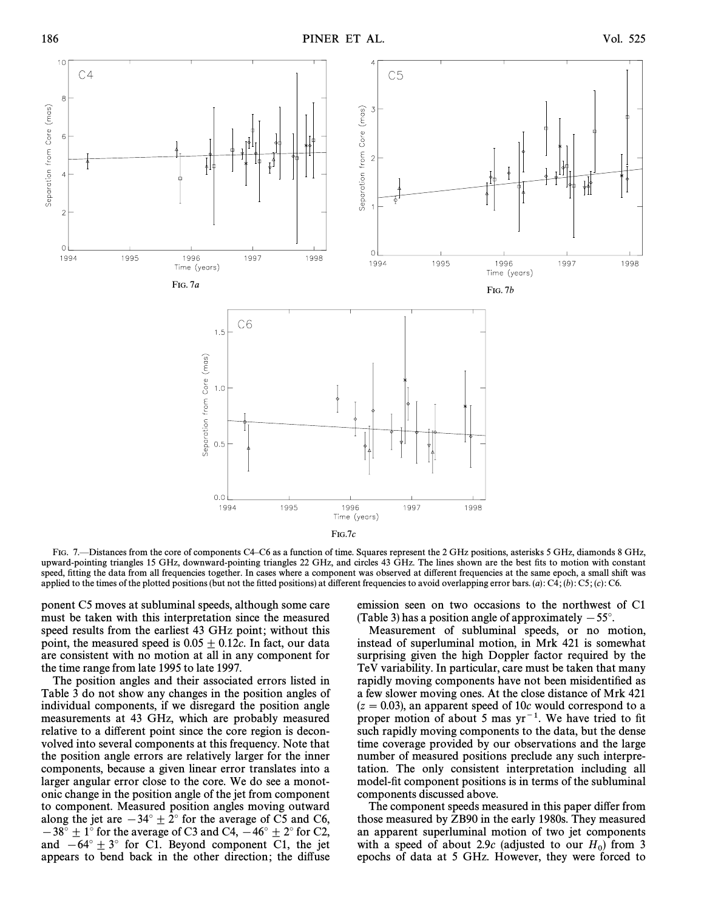

FIG. 7.—Distances from the core of components C4–C6 as a function of time. Squares represent the 2 GHz positions, asterisks 5 GHz, diamonds 8 GHz, upward-pointing triangles 15 GHz, downward-pointing triangles 22 GHz, and circles 43 GHz. The lines shown are the best fits to motion with constant speed, fitting the data from all frequencies together. In cases where a component was observed at different frequencies at the same epoch, a small shift was applied to the times of the plotted positions (but not the fitted positions) at different frequencies to avoid overlapping error bars. (a): C4; (b): C5; (c): C6.

ponent C5 moves at subluminal speeds, although some care must be taken with this interpretation since the measured speed results from the earliest 43 GHz point; without this point, the measured speed is  $0.05 \pm 0.12c$ . In fact, our data are consistent with no motion at all in any component for the time range from late 1995 to late 1997.

The position angles and their associated errors listed in Table 3 do not show any changes in the position angles of individual components, if we disregard the position angle measurements at 43 GHz, which are probably measured relative to a different point since the core region is deconvolved into several components at this frequency. Note that the position angle errors are relatively larger for the inner components, because a given linear error translates into a larger angular error close to the core. We do see a monotonic change in the position angle of the jet from component to component. Measured position angles moving outward along the jet are  $-34^\circ \pm 2^\circ$  for the average of C5 and C6,  $-38^\circ \pm 1^\circ$  for the average of C3 and C4,  $-46^\circ \pm 2^\circ$  for C2, and  $-64^\circ \pm 3^\circ$  for C1. Beyond component C1, the jet appears to bend back in the other direction; the diffuse

emission seen on two occasions to the northwest of C1 (Table 3) has a position angle of approximately  $-55^{\circ}$ .

Measurement of subluminal speeds, or no motion, instead of superluminal motion, in Mrk 421 is somewhat surprising given the high Doppler factor required by the TeV variability. In particular, care must be taken that many rapidly moving components have not been misidentified as a few slower moving ones. At the close distance of Mrk 421  $(z = 0.03)$ , an apparent speed of 10c would correspond to a proper motion of about 5 mas  $yr^{-1}$ . We have tried to fit such rapidly moving components to the data, but the dense time coverage provided by our observations and the large number of measured positions preclude any such interpretation. The only consistent interpretation including all model-fit component positions is in terms of the subluminal components discussed above.

The component speeds measured in this paper differ from those measured by ZB90 in the early 1980s. They measured an apparent superluminal motion of two jet components with a speed of about 2.9c (adjusted to our  $H_0$ ) from 3<br>epochs of data at 5 GHz. However, they were forced to epochs of data at 5 GHz. However, they were forced to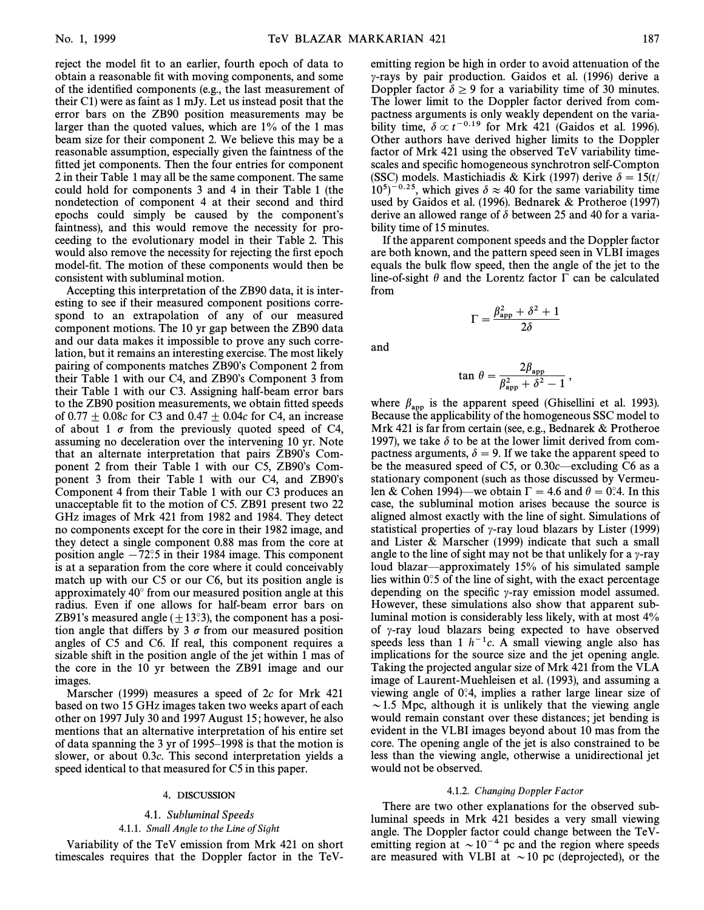reject the model fit to an earlier, fourth epoch of data to obtain a reasonable fit with moving components, and some of the identified components (e.g., the last measurement of their C1) were as faint as 1 mJy. Let us instead posit that the error bars on the ZB90 position measurements may be larger than the quoted values, which are 1% of the 1 mas beam size for their component 2. We believe this may be a reasonable assumption, especially given the faintness of the fitted jet components. Then the four entries for component 2 in their Table 1 may all be the same component. The same could hold for components 3 and 4 in their Table 1 (the nondetection of component 4 at their second and third epochs could simply be caused by the component's faintness), and this would remove the necessity for proceeding to the evolutionary model in their Table 2. This would also remove the necessity for rejecting the first epoch model-fit. The motion of these components would then be consistent with subluminal motion.

Accepting this interpretation of the ZB90 data, it is interesting to see if their measured component positions correspond to an extrapolation of any of our measured component motions. The 10 yr gap between the ZB90 data and our data makes it impossible to prove any such correlation, but it remains an interesting exercise. The most likely pairing of components matches ZB90's Component 2 from their Table 1 with our  $C4$ , and ZB90's Component 3 from their Table 1 with our C3. Assigning half-beam error bars to the ZB90 position measurements, we obtain fitted speeds of  $0.77 \pm 0.08c$  for C3 and  $0.47 \pm 0.04c$  for C4, an increase of about 1  $\sigma$  from the previously quoted speed of C4, assuming no deceleration over the intervening 10 yr. Note that an alternate interpretation that pairs ZB90's Component 2 from their Table 1 with our  $C5$ , ZB90's Component 3 from their Table 1 with our C4, and ZB90's Component 4 from their Table 1 with our C3 produces an unacceptable fit to the motion of C5. ZB91 present two 22 GHz images of Mrk 421 from 1982 and 1984. They detect no components except for the core in their 1982 image, and they detect a single component 0.88 mas from the core at position angle  $-72°.5$  in their 1984 image. This component is at a separation from the core where it could conceivably match up with our C5 or our C6, but its position angle is approximately  $40^\circ$  from our measured position angle at this radius. Even if one allows for half-beam error bars on ZB91's measured angle  $(\pm 13\degree 3)$ , the component has a position angle that differs by 3  $\sigma$  from our measured position angles of C5 and C6. If real, this component requires a sizable shift in the position angle of the jet within 1 mas of the core in the 10 yr between the ZB91 image and our images.

Marscher (1999) measures a speed of 2c for Mrk 421 based on two 15 GHz images taken two weeks apart of each other on 1997 July 30 and 1997 August 15 ; however, he also mentions that an alternative interpretation of his entire set of data spanning the 3 yr of  $1995-1998$  is that the motion is slower, or about 0.3c. This second interpretation yields a speed identical to that measured for C5 in this paper.

#### 4. DISCUSSION

# 4.1. Subluminal Speeds

#### 4.1.1. Small Angle to the Line of Sight

Variability of the TeV emission from Mrk 421 on short timescales requires that the Doppler factor in the TeV- emitting region be high in order to avoid attenuation of the  $\gamma$ -rays by pair production. Gaidos et al. (1996) derive a Doppler factor  $\delta \ge 9$  for a variability time of 30 minutes. The lower limit to the Doppler factor derived from compactness arguments is only weakly dependent on the variability time,  $\delta \propto t^{-0.19}$  for Mrk 421 (Gaidos et al. 1996). Other authors have derived higher limits to the Doppler factor of Mrk 421 using the observed TeV variability timescales and specific homogeneous synchrotron self-Compton (SSC) models. Mastichiadis & Kirk (1997) derive  $\delta = 15(t)$  $10^{5})^{-0.25}$ , which gives  $\delta \approx 40$  for the same variability time used by Gaidos et al. (1996). Bednarek & Protheroe (1997) derive an allowed range of  $\delta$  between 25 and 40 for a variability time of 15 minutes.

If the apparent component speeds and the Doppler factor are both known, and the pattern speed seen in VLBI images equals the bulk flow speed, then the angle of the jet to the line-of-sight  $\theta$  and the Lorentz factor  $\Gamma$  can be calculated from

$$
\Gamma = \frac{\beta_{\text{app}}^2 + \delta^2 + 1}{2\delta}
$$

and

$$
\tan \theta = \frac{2\beta_{\rm app}}{\beta_{\rm app}^2 + \delta^2 - 1},
$$

where  $\beta_{\rm app}$  is the apparent speed (Ghisellini et al. 1993). Because the applicability of the homogeneous SSC model to Mrk 421 is far from certain (see, e.g., Bednarek & Protheroe 1997), we take  $\delta$  to be at the lower limit derived from compactness arguments,  $\delta = 9$ . If we take the apparent speed to be the measured speed of C5, or  $0.30c$ —excluding C6 as a stationary component (such as those discussed by Vermeulen & Cohen 1994)—we obtain  $\Gamma = 4.6$  and  $\theta = 0$ °.4. In this case, the subluminal motion arises because the source is aligned almost exactly with the line of sight. Simulations of statistical properties of  $\gamma$ -ray loud blazars by Lister (1999) and Lister & Marscher (1999) indicate that such a small angle to the line of sight may not be that unlikely for a  $\gamma$ -ray loud blazar—approximately  $15%$  of his simulated sample lies within  $0^\circ$ :5 of the line of sight, with the exact percentage depending on the specific  $\gamma$ -ray emission model assumed. However, these simulations also show that apparent subluminal motion is considerably less likely, with at most 4% of  $\gamma$ -ray loud blazars being expected to have observed speeds less than 1  $h^{-1}c$ . A small viewing angle also has implications for the source size and the jet opening angle. Taking the projected angular size of Mrk 421 from the VLA image of Laurent-Muehleisen et al. (1993), and assuming a viewing angle of  $0^\circ$ 4, implies a rather large linear size of  $\sim$  1.5 Mpc, although it is unlikely that the viewing angle would remain constant over these distances; jet bending is evident in the VLBI images beyond about 10 mas from the core. The opening angle of the jet is also constrained to be less than the viewing angle, otherwise a unidirectional jet would not be observed.

#### 4.1.2. Changing Doppler Factor

There are two other explanations for the observed subluminal speeds in Mrk 421 besides a very small viewing angle. The Doppler factor could change between the TeVemitting region at  $\sim 10^{-4}$  pc and the region where speeds are measured with VLBI at  $\sim$  10 pc (deprojected), or the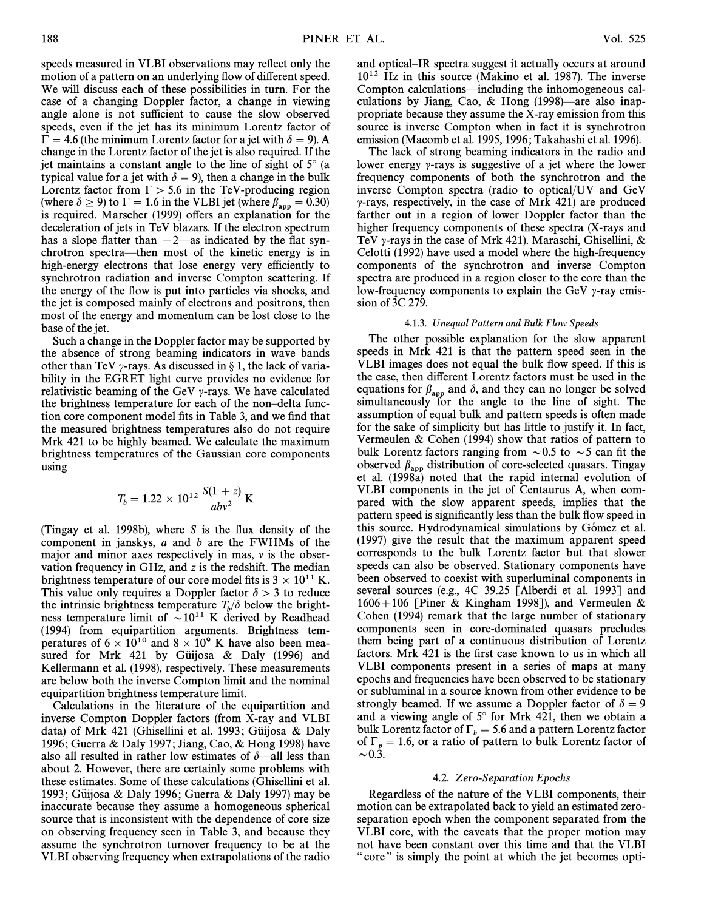speeds measured in VLBI observations may reflect only the motion of a pattern on an underlying flow of different speed. We will discuss each of these possibilities in turn. For the case of a changing Doppler factor, a change in viewing angle alone is not sufficient to cause the slow observed speeds, even if the jet has its minimum Lorentz factor of  $\Gamma = 4.6$  (the minimum Lorentz factor for a jet with  $\delta = 9$ ). A change in the Lorentz factor of the jet is also required. If the jet maintains a constant angle to the line of sight of  $5^\circ$  (a typical value for a jet with  $\delta = 9$ , then a change in the bulk Lorentz factor from  $\Gamma > 5.6$  in the TeV-producing region (where  $\delta \ge 9$ ) to  $\Gamma = 1.6$  in the VLBI jet (where  $\beta_{app} = 0.30$ )<br>is required Marscher (1999) offers an explanation for the is required. Marscher (1999) offers an explanation for the deceleration of jets in TeV blazars. If the electron spectrum has a slope flatter than  $-2$ —as indicated by the flat synchrotron spectra—then most of the kinetic energy is in high-energy electrons that lose energy very efficiently to synchrotron radiation and inverse Compton scattering. If the energy of the flow is put into particles via shocks, and the jet is composed mainly of electrons and positrons, then most of the energy and momentum can be lost close to the base of the jet.

Such a change in the Doppler factor may be supported by the absence of strong beaming indicators in wave bands other than TeV  $\gamma$ -rays. As discussed in § 1, the lack of variability in the EGRET light curve provides no evidence for relativistic beaming of the GeV  $\gamma$ -rays. We have calculated the brightness temperature for each of the non-delta function core component model fits in Table 3, and we find that the measured brightness temperatures also do not require Mrk 421 to be highly beamed. We calculate the maximum brightness temperatures of the Gaussian core components using

$$
T_b = 1.22 \times 10^{12} \frac{S(1+z)}{abv^2} \text{ K}
$$

(Tingay et al. 1998b), where  $S$  is the flux density of the component in janskys, a and b are the FWHMs of the major and minor axes respectively in mas,  $\nu$  is the observation frequency in GHz, and  $z$  is the redshift. The median brightness temperature of our core model fits is  $3 \times 10^{11}$  K. This value only requires a Doppler factor  $\delta > 3$  to reduce the intrinsic brightness temperature  $T_b/\delta$  below the brightness temperature limit of  $\sim 10^{11}$  K derived by Readhead (1994) from equipartition arguments. Brightness temperatures of  $6 \times 10^{10}$  and  $8 \times 10^9$  K have also been measured for Mrk 421 by Güijosa & Daly (1996) and Kellermann et al. (1998), respectively. These measurements are below both the inverse Compton limit and the nominal equipartition brightness temperature limit.

Calculations in the literature of the equipartition and inverse Compton Doppler factors (from X-ray and VLBI data) of Mrk 421 (Ghisellini et al. 1993; Güijosa & Daly 1996 ; Guerra & Daly 1997 ; Jiang, Cao, & Hong 1998) have also all resulted in rather low estimates of  $\delta$ —all less than about 2. However, there are certainly some problems with these estimates. Some of these calculations (Ghisellini et al. 1993; Güijosa & Daly 1996; Guerra & Daly 1997) may be inaccurate because they assume a homogeneous spherical source that is inconsistent with the dependence of core size on observing frequency seen in Table 3, and because they assume the synchrotron turnover frequency to be at the VLBI observing frequency when extrapolations of the radio

The lack of strong beaming indicators in the radio and lower energy  $\gamma$ -rays is suggestive of a jet where the lower frequency components of both the synchrotron and the inverse Compton spectra (radio to optical/UV and GeV  $\gamma$ -rays, respectively, in the case of Mrk 421) are produced farther out in a region of lower Doppler factor than the higher frequency components of these spectra (X-rays and TeV  $\gamma$ -rays in the case of Mrk 421). Maraschi, Ghisellini, & Celotti (1992) have used a model where the high-frequency components of the synchrotron and inverse Compton spectra are produced in a region closer to the core than the low-frequency components to explain the GeV  $\gamma$ -ray emission of 3C 279.

#### 4.1.3. Unequal Pattern and Bulk Flow Speeds

The other possible explanation for the slow apparent speeds in Mrk 421 is that the pattern speed seen in the VLBI images does not equal the bulk Ñow speed. If this is the case, then di†erent Lorentz factors must be used in the equations for  $\beta_{\rm app}$  and  $\delta$ , and they can no longer be solved simultaneously for the angle to the line of sight. The assumption of equal bulk and pattern speeds is often made for the sake of simplicity but has little to justify it. In fact, Vermeulen & Cohen (1994) show that ratios of pattern to bulk Lorentz factors ranging from  $\sim 0.5$  to  $\sim 5$  can fit the observed  $\beta_{\rm app}$  distribution of core-selected quasars. Tingay et al. (1998a) noted that the rapid internal evolution of VLBI components in the jet of Centaurus A, when compared with the slow apparent speeds, implies that the pattern speed is significantly less than the bulk flow speed in this source. Hydrodynamical simulations by Gómez et al. (1997) give the result that the maximum apparent speed corresponds to the bulk Lorentz factor but that slower speeds can also be observed. Stationary components have been observed to coexist with superluminal components in several sources (e.g., 4C 39.25 [Alberdi et al. 1993] and  $1606+106$  [Piner & Kingham 1998]), and Vermeulen & Cohen (1994) remark that the large number of stationary components seen in core-dominated quasars precludes them being part of a continuous distribution of Lorentz factors. Mrk 421 is the first case known to us in which all VLBI components present in a series of maps at many epochs and frequencies have been observed to be stationary or subluminal in a source known from other evidence to be strongly beamed. If we assume a Doppler factor of  $\delta = 9$ and a viewing angle of  $5^{\circ}$  for Mrk 421, then we obtain a bulk Lorentz factor of  $\Gamma_b = 5.6$  and a pattern Lorentz factor of  $\Gamma_c = 1.6$  or a ratio of pattern to bulk Lorentz factor of of  $\Gamma_p = 1.6$ , or a ratio of pattern to bulk Lorentz factor of  $\sim$  0.3.

### 4.2. Zero-Separation Epochs

Regardless of the nature of the VLBI components, their motion can be extrapolated back to yield an estimated zeroseparation epoch when the component separated from the VLBI core, with the caveats that the proper motion may not have been constant over this time and that the VLBI " core" is simply the point at which the jet becomes opti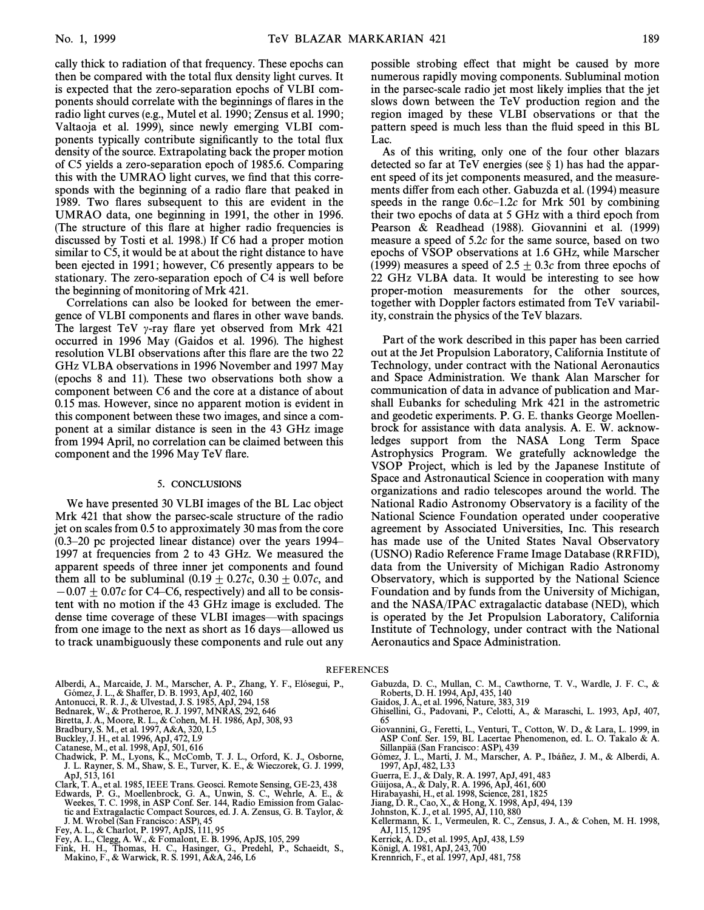cally thick to radiation of that frequency. These epochs can then be compared with the total flux density light curves. It is expected that the zero-separation epochs of VLBI components should correlate with the beginnings of Ñares in the radio light curves (e.g., Mutel et al. 1990; Zensus et al. 1990; Valtaoja et al. 1999), since newly emerging VLBI components typically contribute significantly to the total flux density of the source. Extrapolating back the proper motion of C5 yields a zero-separation epoch of 1985.6. Comparing this with the UMRAO light curves, we find that this corresponds with the beginning of a radio flare that peaked in 1989. Two flares subsequent to this are evident in the UMRAO data, one beginning in 1991, the other in 1996. (The structure of this flare at higher radio frequencies is discussed by Tosti et al. 1998.) If C6 had a proper motion similar to C5, it would be at about the right distance to have been ejected in 1991; however, C6 presently appears to be stationary. The zero-separation epoch of C4 is well before the beginning of monitoring of Mrk 421.

Correlations can also be looked for between the emergence of VLBI components and Ñares in other wave bands. The largest TeV  $\gamma$ -ray flare yet observed from Mrk 421 occurred in 1996 May (Gaidos et al. 1996). The highest resolution VLBI observations after this flare are the two 22 GHz VLBA observations in 1996 November and 1997 May (epochs 8 and 11). These two observations both show a component between C6 and the core at a distance of about 0.15 mas. However, since no apparent motion is evident in this component between these two images, and since a component at a similar distance is seen in the 43 GHz image from 1994 April, no correlation can be claimed between this component and the 1996 May TeV flare.

#### 5. CONCLUSIONS

We have presented 30 VLBI images of the BL Lac object Mrk 421 that show the parsec-scale structure of the radio jet on scales from 0.5 to approximately 30 mas from the core  $(0.3–20 \text{ pc projected linear distance})$  over the years 1994– 1997 at frequencies from 2 to 43 GHz. We measured the apparent speeds of three inner jet components and found them all to be subluminal  $(0.19 \pm 0.27c, 0.30 \pm 0.07c,$  and  $-0.07\pm 0.07c$  for C4–C6, respectively) and all to be consistent with no motion if the 43 GHz image is excluded. The dense time coverage of these VLBI images—with spacings from one image to the next as short as 16 days—allowed us to track unambiguously these components and rule out any

Alberdi, A., Marcaide, J. M., Marscher, A. P., Zhang, Y. F., Elósegui, P.,

- Gómez, J. L., & Shaffer, D. B. 1993, ApJ, 402, 160<br>Antonucci, R. R. J., & Ulvestad, J. S. 1985, ApJ, 294, 158
- 
- Bednarek, W., & Protheroe, R. J. 1997, MNRAS, 292, 646
- Biretta, J. A., Moore, R. L., & Cohen, M. H. 1986, ApJ, 308, 93 Bradbury, S. M., et al. 1997, A&A, 320, L5
- 
- 
- 
- Buckley, J. H., et al. 1996, ApJ, 472, L9 Catanese, M., et al. 1998, ApJ, 501, 616 Chadwick, P. M., Lyons, K., McComb, T. J. L., Orford, K. J., Osborne, J. L. Rayner, S. M., Shaw, S. E., Turver, K. E., & Wieczorek, G. J. 1999, ApJ, 513, 161
- Clark, T. A., et al. 1985, IEEE Trans. Geosci. Remote Sensing, GE-23, 438
- Edwards, P. G., Moellenbrock, G. A., Unwin, S. C., Wehrle, A. E., & Weekes, T. C. 1998, in ASP Conf. Ser. 144, Radio Emission from Galactic and Extragalactic Compact Sources, ed. J. A. Zensus, G. B. Taylor, & J. M. Wrobel (San Francisco : ASP), 45
- Fey, A. L., & Charlot, P. 1997, ApJS, 111, 95
- 
- Fey, A. L., Clegg, A. W., & Fomalont, E. B. 1996, ApJS, 105, 299 Fink, H. H., Thomas, H. C., Hasinger, G., Predehl, P., Schaeidt, S., Makino, F., & Warwick, R. S. 1991, A&A, 246, L6

possible strobing effect that might be caused by more numerous rapidly moving components. Subluminal motion in the parsec-scale radio jet most likely implies that the jet slows down between the TeV production region and the region imaged by these VLBI observations or that the pattern speed is much less than the fluid speed in this BL Lac.

As of this writing, only one of the four other blazars detected so far at TeV energies (see  $\S$  1) has had the apparent speed of its jet components measured, and the measurements differ from each other. Gabuzda et al. (1994) measure speeds in the range  $0.6c-1.2c$  for Mrk 501 by combining their two epochs of data at 5 GHz with a third epoch from Pearson & Readhead (1988). Giovannini et al. (1999) measure a speed of 5.2c for the same source, based on two epochs of VSOP observations at 1.6 GHz, while Marscher (1999) measures a speed of 2.5  $\pm$  0.3c from three epochs of 22 GHz VLBA data. It would be interesting to see how proper-motion measurements for the other sources, together with Doppler factors estimated from TeV variability, constrain the physics of the TeV blazars.

Part of the work described in this paper has been carried out at the Jet Propulsion Laboratory, California Institute of Technology, under contract with the National Aeronautics and Space Administration. We thank Alan Marscher for communication of data in advance of publication and Marshall Eubanks for scheduling Mrk 421 in the astrometric and geodetic experiments. P. G. E. thanks George Moellenbrock for assistance with data analysis. A. E. W. acknowledges support from the NASA Long Term Space Astrophysics Program. We gratefully acknowledge the VSOP Project, which is led by the Japanese Institute of Space and Astronautical Science in cooperation with many organizations and radio telescopes around the world. The National Radio Astronomy Observatory is a facility of the National Science Foundation operated under cooperative agreement by Associated Universities, Inc. This research has made use of the United States Naval Observatory (USNO) Radio Reference Frame Image Database (RRFID), data from the University of Michigan Radio Astronomy Observatory, which is supported by the National Science Foundation and by funds from the University of Michigan, and the NASA/IPAC extragalactic database (NED), which is operated by the Jet Propulsion Laboratory, California Institute of Technology, under contract with the National Aeronautics and Space Administration.

#### REFERENCES

- Gabuzda, D. C., Mullan, C. M., Cawthorne, T. V., Wardle, J. F. C., & Roberts, D. H. 1994, ApJ, 435, 140 Gaidos, J. A., et al. 1996, Nature, 383, 319
	-
	- Ghisellini, G., Padovani, P., Celotti, A., & Maraschi, L. 1993, ApJ, 407, 65
	- Giovannini, G., Feretti, L., Venturi, T., Cotton, W. D., & Lara, L. 1999, in ASP Conf. Ser. 159, BL Lacertae Phenomenon, ed. L. O. Takalo & A. Sillanpää (San Francisco: ASP), 439
	- Gómez, J. L., Martí, J. M., Marscher, A. P., Ibáñez, J. M., & Alberdi, A. 1997, ApJ, 482, L33 Guerra, E. J., & Daly, R. A. 1997, ApJ, 491, 483
	-
	- Guijosa, A., & Daly, R. A. 1996, ApJ, 461, 600
	- Hirabayashi, H., et al. 1998, Science, 281, 1825
	-
	-
	- Jiang, D. R., Cao, X., & Hong, X. 1998, ApJ, 494, 139 Johnston, K. J., et al. 1995, AJ, 110, 880 Kellermann, K. I., Vermeulen, R. C., Zensus, J. A., & Cohen, M. H. 1998, AJ, 115, 1295
	- Kerrick, A. D., et al. 1995, ApJ, 438, L59 Konigl, A. 1981, ApJ, 243, 700
	-
	- Krennrich, F., et al. 1997, ApJ, 481, 758